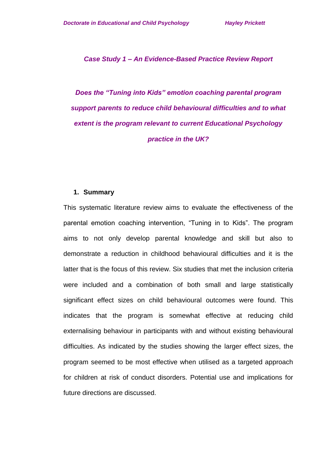*Case Study 1 – An Evidence-Based Practice Review Report*

*Does the "Tuning into Kids" emotion coaching parental program support parents to reduce child behavioural difficulties and to what extent is the program relevant to current Educational Psychology practice in the UK?*

#### **1. Summary**

This systematic literature review aims to evaluate the effectiveness of the parental emotion coaching intervention, "Tuning in to Kids". The program aims to not only develop parental knowledge and skill but also to demonstrate a reduction in childhood behavioural difficulties and it is the latter that is the focus of this review. Six studies that met the inclusion criteria were included and a combination of both small and large statistically significant effect sizes on child behavioural outcomes were found. This indicates that the program is somewhat effective at reducing child externalising behaviour in participants with and without existing behavioural difficulties. As indicated by the studies showing the larger effect sizes, the program seemed to be most effective when utilised as a targeted approach for children at risk of conduct disorders. Potential use and implications for future directions are discussed.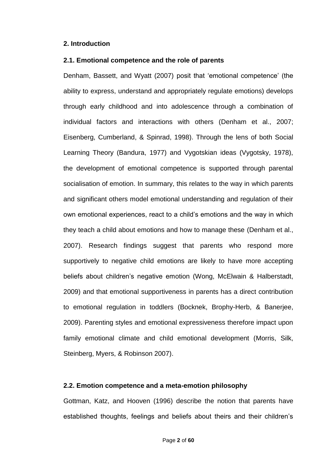#### **2. Introduction**

#### **2.1. Emotional competence and the role of parents**

Denham, Bassett, and Wyatt (2007) posit that 'emotional competence' (the ability to express, understand and appropriately regulate emotions) develops through early childhood and into adolescence through a combination of individual factors and interactions with others (Denham et al., 2007; Eisenberg, Cumberland, & Spinrad, 1998). Through the lens of both Social Learning Theory (Bandura, 1977) and Vygotskian ideas (Vygotsky, 1978), the development of emotional competence is supported through parental socialisation of emotion. In summary, this relates to the way in which parents and significant others model emotional understanding and regulation of their own emotional experiences, react to a child's emotions and the way in which they teach a child about emotions and how to manage these (Denham et al., 2007). Research findings suggest that parents who respond more supportively to negative child emotions are likely to have more accepting beliefs about children's negative emotion (Wong, McElwain & Halberstadt, 2009) and that emotional supportiveness in parents has a direct contribution to emotional regulation in toddlers (Bocknek, Brophy-Herb, & Banerjee, 2009). Parenting styles and emotional expressiveness therefore impact upon family emotional climate and child emotional development (Morris, Silk, Steinberg, Myers, & Robinson 2007).

### **2.2. Emotion competence and a meta-emotion philosophy**

Gottman, Katz, and Hooven (1996) describe the notion that parents have established thoughts, feelings and beliefs about theirs and their children's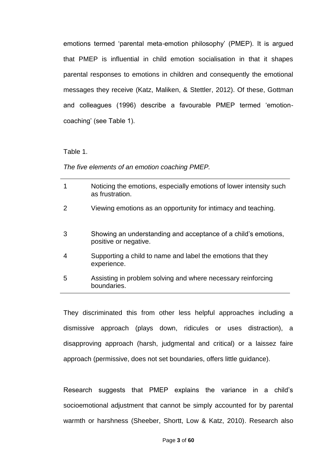emotions termed 'parental meta-emotion philosophy' (PMEP). It is argued that PMEP is influential in child emotion socialisation in that it shapes parental responses to emotions in children and consequently the emotional messages they receive (Katz, Maliken, & Stettler, 2012). Of these, Gottman and colleagues (1996) describe a favourable PMEP termed 'emotioncoaching' (see Table 1).

Table 1.

*The five elements of an emotion coaching PMEP.*

|   | Noticing the emotions, especially emotions of lower intensity such<br>as frustration.   |
|---|-----------------------------------------------------------------------------------------|
|   | Viewing emotions as an opportunity for intimacy and teaching.                           |
| 3 | Showing an understanding and acceptance of a child's emotions,<br>positive or negative. |
| 4 | Supporting a child to name and label the emotions that they<br>experience.              |
| 5 | Assisting in problem solving and where necessary reinforcing<br>boundaries.             |

They discriminated this from other less helpful approaches including a dismissive approach (plays down, ridicules or uses distraction), a disapproving approach (harsh, judgmental and critical) or a laissez faire approach (permissive, does not set boundaries, offers little guidance).

Research suggests that PMEP explains the variance in a child's socioemotional adjustment that cannot be simply accounted for by parental warmth or harshness (Sheeber, Shortt, Low & Katz, 2010). Research also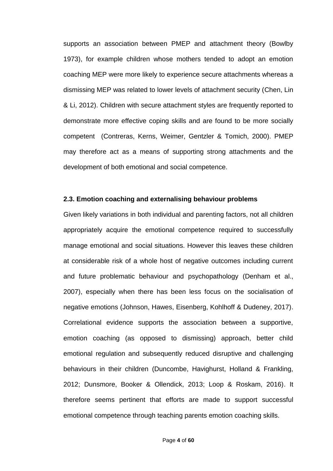supports an association between PMEP and attachment theory (Bowlby 1973), for example children whose mothers tended to adopt an emotion coaching MEP were more likely to experience secure attachments whereas a dismissing MEP was related to lower levels of attachment security (Chen, Lin & Li, 2012). Children with secure attachment styles are frequently reported to demonstrate more effective coping skills and are found to be more socially competent (Contreras, Kerns, Weimer, Gentzler & Tomich, 2000). PMEP may therefore act as a means of supporting strong attachments and the development of both emotional and social competence.

#### **2.3. Emotion coaching and externalising behaviour problems**

Given likely variations in both individual and parenting factors, not all children appropriately acquire the emotional competence required to successfully manage emotional and social situations. However this leaves these children at considerable risk of a whole host of negative outcomes including current and future problematic behaviour and psychopathology (Denham et al., 2007), especially when there has been less focus on the socialisation of negative emotions (Johnson, Hawes, Eisenberg, Kohlhoff & Dudeney, 2017). Correlational evidence supports the association between a supportive, emotion coaching (as opposed to dismissing) approach, better child emotional regulation and subsequently reduced disruptive and challenging behaviours in their children (Duncombe, Havighurst, Holland & Frankling, 2012; Dunsmore, Booker & Ollendick, 2013; Loop & Roskam, 2016). It therefore seems pertinent that efforts are made to support successful emotional competence through teaching parents emotion coaching skills.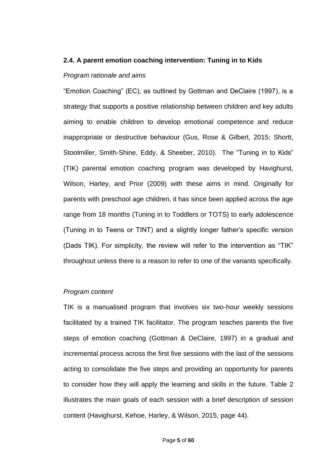#### **2.4. A parent emotion coaching intervention: Tuning in to Kids**

#### *Program rationale and aims*

"Emotion Coaching" (EC), as outlined by Gottman and DeClaire (1997), is a strategy that supports a positive relationship between children and key adults aiming to enable children to develop emotional competence and reduce inappropriate or destructive behaviour (Gus, Rose & Gilbert, 2015; Shortt, Stoolmiller, Smith-Shine, Eddy, & Sheeber, 2010). The "Tuning in to Kids" (TIK) parental emotion coaching program was developed by Havighurst, Wilson, Harley, and Prior (2009) with these aims in mind. Originally for parents with preschool age children, it has since been applied across the age range from 18 months (Tuning in to Toddlers or TOTS) to early adolescence (Tuning in to Teens or TINT) and a slightly longer father's specific version (Dads TIK). For simplicity, the review will refer to the intervention as "TIK" throughout unless there is a reason to refer to one of the variants specifically.

#### *Program content*

TIK is a manualised program that involves six two-hour weekly sessions facilitated by a trained TIK facilitator. The program teaches parents the five steps of emotion coaching (Gottman & DeClaire, 1997) in a gradual and incremental process across the first five sessions with the last of the sessions acting to consolidate the five steps and providing an opportunity for parents to consider how they will apply the learning and skills in the future. Table 2 illustrates the main goals of each session with a brief description of session content (Havighurst, Kehoe, Harley, & Wilson, 2015, page 44).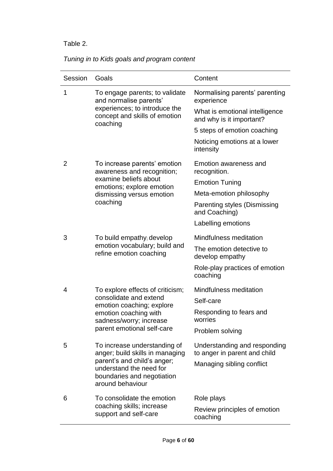# Table 2.

|  |  | Tuning in to Kids goals and program content |  |
|--|--|---------------------------------------------|--|
|  |  |                                             |  |

| Session | Goals                                                                                                    | Content                                                      |
|---------|----------------------------------------------------------------------------------------------------------|--------------------------------------------------------------|
| 1       | To engage parents; to validate<br>and normalise parents'                                                 | Normalising parents' parenting<br>experience                 |
|         | experiences; to introduce the<br>concept and skills of emotion<br>coaching                               | What is emotional intelligence<br>and why is it important?   |
|         |                                                                                                          | 5 steps of emotion coaching                                  |
|         |                                                                                                          | Noticing emotions at a lower<br>intensity                    |
| 2       | To increase parents' emotion<br>awareness and recognition;                                               | Emotion awareness and<br>recognition.                        |
|         | examine beliefs about<br>emotions; explore emotion                                                       | <b>Emotion Tuning</b>                                        |
|         | dismissing versus emotion                                                                                | Meta-emotion philosophy                                      |
|         | coaching                                                                                                 | Parenting styles (Dismissing<br>and Coaching)                |
|         |                                                                                                          | Labelling emotions                                           |
| 3       | To build empathy; develop                                                                                | Mindfulness meditation                                       |
|         | emotion vocabulary; build and<br>refine emotion coaching                                                 | The emotion detective to<br>develop empathy                  |
|         |                                                                                                          | Role-play practices of emotion<br>coaching                   |
| 4       | To explore effects of criticism;                                                                         | Mindfulness meditation                                       |
|         | consolidate and extend<br>emotion coaching; explore                                                      | Self-care                                                    |
|         | emotion coaching with<br>sadness/worry; increase                                                         | Responding to fears and<br>worries                           |
|         | parent emotional self-care                                                                               | Problem solving                                              |
| 5       | To increase understanding of<br>anger; build skills in managing                                          | Understanding and responding<br>to anger in parent and child |
|         | parent's and child's anger;<br>understand the need for<br>boundaries and negotiation<br>around behaviour | Managing sibling conflict                                    |
| 6       | To consolidate the emotion                                                                               | Role plays                                                   |
|         | coaching skills; increase<br>support and self-care                                                       | Review principles of emotion<br>coaching                     |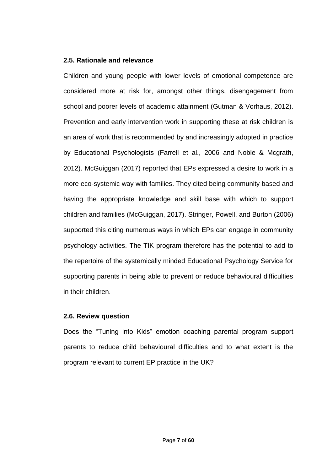### **2.5. Rationale and relevance**

Children and young people with lower levels of emotional competence are considered more at risk for, amongst other things, disengagement from school and poorer levels of academic attainment (Gutman & Vorhaus, 2012). Prevention and early intervention work in supporting these at risk children is an area of work that is recommended by and increasingly adopted in practice by Educational Psychologists (Farrell et al., 2006 and Noble & Mcgrath, 2012). McGuiggan (2017) reported that EPs expressed a desire to work in a more eco-systemic way with families. They cited being community based and having the appropriate knowledge and skill base with which to support children and families (McGuiggan, 2017). Stringer, Powell, and Burton (2006) supported this citing numerous ways in which EPs can engage in community psychology activities. The TIK program therefore has the potential to add to the repertoire of the systemically minded Educational Psychology Service for supporting parents in being able to prevent or reduce behavioural difficulties in their children.

#### **2.6. Review question**

Does the "Tuning into Kids" emotion coaching parental program support parents to reduce child behavioural difficulties and to what extent is the program relevant to current EP practice in the UK?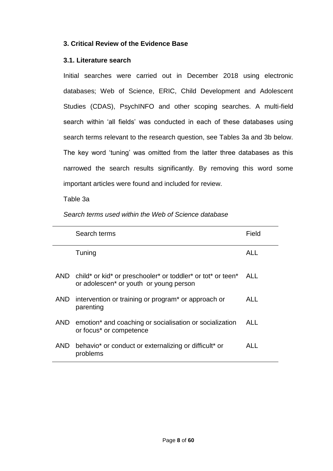## **3. Critical Review of the Evidence Base**

### **3.1. Literature search**

Initial searches were carried out in December 2018 using electronic databases; Web of Science, ERIC, Child Development and Adolescent Studies (CDAS), PsychINFO and other scoping searches. A multi-field search within 'all fields' was conducted in each of these databases using search terms relevant to the research question, see Tables 3a and 3b below. The key word 'tuning' was omitted from the latter three databases as this narrowed the search results significantly. By removing this word some important articles were found and included for review.

### Table 3a

*Search terms used within the Web of Science database*

|     | Search terms                                                                                                          | Field      |
|-----|-----------------------------------------------------------------------------------------------------------------------|------------|
|     | Tuning                                                                                                                | ALL        |
|     | AND child* or kid* or preschooler* or toddler* or tot* or teen*<br>or adolescen <sup>*</sup> or youth or young person | ALL.       |
| AND | intervention or training or program <sup>*</sup> or approach or<br>parenting                                          | ALL.       |
|     | AND emotion* and coaching or socialisation or socialization<br>or focus* or competence                                | <b>ALL</b> |
| AND | behavio <sup>*</sup> or conduct or externalizing or difficult <sup>*</sup> or<br>problems                             | ALL        |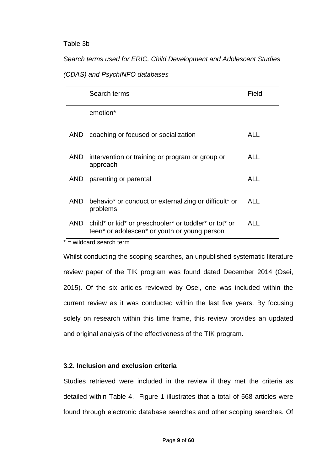#### Table 3b

*Search terms used for ERIC, Child Development and Adolescent Studies* 

### *(CDAS) and PsychINFO databases*

|      | Search terms                                                                                          | Field      |
|------|-------------------------------------------------------------------------------------------------------|------------|
|      | emotion <sup>*</sup>                                                                                  |            |
| AND. | coaching or focused or socialization                                                                  | ALL.       |
| AND  | intervention or training or program or group or<br>approach                                           | ALL.       |
| AND  | parenting or parental                                                                                 | <b>ALL</b> |
| AND  | behavio* or conduct or externalizing or difficult* or<br>problems                                     | ALL        |
| AND. | child* or kid* or preschooler* or toddler* or tot* or<br>teen* or adolescen* or youth or young person | ALL        |
|      | $*$ = wildcard search term                                                                            |            |

Whilst conducting the scoping searches, an unpublished systematic literature review paper of the TIK program was found dated December 2014 (Osei, 2015). Of the six articles reviewed by Osei, one was included within the current review as it was conducted within the last five years. By focusing solely on research within this time frame, this review provides an updated and original analysis of the effectiveness of the TIK program.

### **3.2. Inclusion and exclusion criteria**

Studies retrieved were included in the review if they met the criteria as detailed within Table 4. Figure 1 illustrates that a total of 568 articles were found through electronic database searches and other scoping searches. Of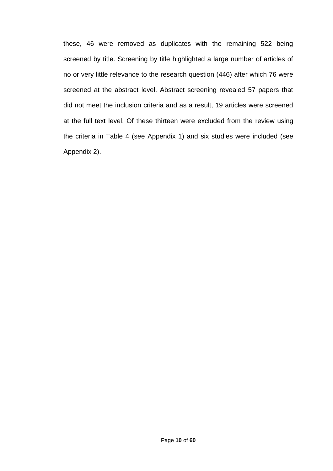these, 46 were removed as duplicates with the remaining 522 being screened by title. Screening by title highlighted a large number of articles of no or very little relevance to the research question (446) after which 76 were screened at the abstract level. Abstract screening revealed 57 papers that did not meet the inclusion criteria and as a result, 19 articles were screened at the full text level. Of these thirteen were excluded from the review using the criteria in Table 4 (see Appendix 1) and six studies were included (see Appendix 2).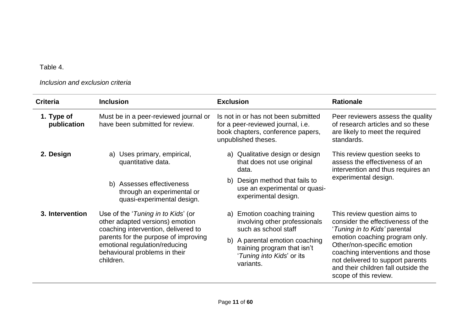Table 4.

*Inclusion and exclusion criteria*

| <b>Criteria</b>           | <b>Inclusion</b>                                                                                                    | <b>Exclusion</b>                                                                                                                     | <b>Rationale</b>                                                                                                                                                                                     |  |
|---------------------------|---------------------------------------------------------------------------------------------------------------------|--------------------------------------------------------------------------------------------------------------------------------------|------------------------------------------------------------------------------------------------------------------------------------------------------------------------------------------------------|--|
| 1. Type of<br>publication | Must be in a peer-reviewed journal or<br>have been submitted for review.                                            | Is not in or has not been submitted<br>for a peer-reviewed journal, i.e.<br>book chapters, conference papers,<br>unpublished theses. | Peer reviewers assess the quality<br>of research articles and so these<br>are likely to meet the required<br>standards.                                                                              |  |
| 2. Design                 | Uses primary, empirical,<br>a)<br>quantitative data.                                                                | a) Qualitative design or design<br>that does not use original<br>data.                                                               | This review question seeks to<br>assess the effectiveness of an<br>intervention and thus requires an                                                                                                 |  |
|                           | b) Assesses effectiveness<br>through an experimental or<br>quasi-experimental design.                               | Design method that fails to<br>b)<br>use an experimental or quasi-<br>experimental design.                                           | experimental design.                                                                                                                                                                                 |  |
| 3. Intervention           | Use of the 'Tuning in to Kids' (or<br>other adapted versions) emotion<br>coaching intervention, delivered to        | a) Emotion coaching training<br>involving other professionals<br>such as school staff                                                | This review question aims to<br>consider the effectiveness of the<br>'Tuning in to Kids' parental                                                                                                    |  |
|                           | parents for the purpose of improving<br>emotional regulation/reducing<br>behavioural problems in their<br>children. | A parental emotion coaching<br>b)<br>training program that isn't<br>'Tuning into Kids' or its<br>variants.                           | emotion coaching program only.<br>Other/non-specific emotion<br>coaching interventions and those<br>not delivered to support parents<br>and their children fall outside the<br>scope of this review. |  |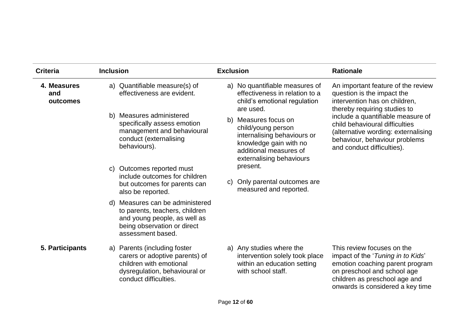| <b>Criteria</b>                | <b>Inclusion</b>                                                                                                                                      | <b>Exclusion</b>                                                                                                                                          | <b>Rationale</b>                                                                                                                                                                                       |
|--------------------------------|-------------------------------------------------------------------------------------------------------------------------------------------------------|-----------------------------------------------------------------------------------------------------------------------------------------------------------|--------------------------------------------------------------------------------------------------------------------------------------------------------------------------------------------------------|
| 4. Measures<br>and<br>outcomes | a) Quantifiable measure(s) of<br>effectiveness are evident.                                                                                           | a) No quantifiable measures of<br>effectiveness in relation to a<br>child's emotional regulation<br>are used.                                             | An important feature of the review<br>question is the impact the<br>intervention has on children,<br>thereby requiring studies to                                                                      |
|                                | b) Measures administered<br>specifically assess emotion<br>management and behavioural<br>conduct (externalising<br>behaviours).                       | b) Measures focus on<br>child/young person<br>internalising behaviours or<br>knowledge gain with no<br>additional measures of<br>externalising behaviours | include a quantifiable measure of<br>child behavioural difficulties<br>(alternative wording: externalising<br>behaviour, behaviour problems<br>and conduct difficulties).                              |
|                                | Outcomes reported must<br>C)<br>include outcomes for children<br>but outcomes for parents can<br>also be reported.                                    | present.<br>Only parental outcomes are<br>C)<br>measured and reported.                                                                                    |                                                                                                                                                                                                        |
|                                | d) Measures can be administered<br>to parents, teachers, children<br>and young people, as well as<br>being observation or direct<br>assessment based. |                                                                                                                                                           |                                                                                                                                                                                                        |
| 5. Participants                | a) Parents (including foster<br>carers or adoptive parents) of<br>children with emotional<br>dysregulation, behavioural or<br>conduct difficulties.   | a) Any studies where the<br>intervention solely took place<br>within an education setting<br>with school staff.                                           | This review focuses on the<br>impact of the 'Tuning in to Kids'<br>emotion coaching parent program<br>on preschool and school age<br>children as preschool age and<br>onwards is considered a key time |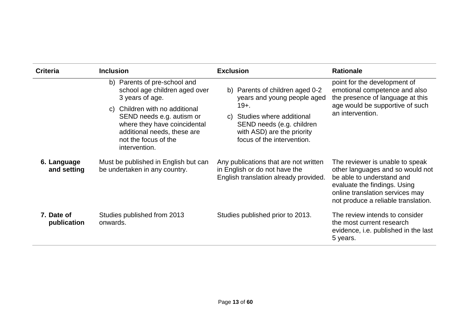| <b>Criteria</b>            | <b>Inclusion</b>                                                                                                                                                       | <b>Exclusion</b>                                                                                                                | <b>Rationale</b>                                                                                                                                                                                           |  |
|----------------------------|------------------------------------------------------------------------------------------------------------------------------------------------------------------------|---------------------------------------------------------------------------------------------------------------------------------|------------------------------------------------------------------------------------------------------------------------------------------------------------------------------------------------------------|--|
|                            | b) Parents of pre-school and<br>school age children aged over<br>3 years of age.                                                                                       | b) Parents of children aged 0-2<br>years and young people aged                                                                  | point for the development of<br>emotional competence and also<br>the presence of language at this<br>age would be supportive of such<br>an intervention.                                                   |  |
|                            | Children with no additional<br>C)<br>SEND needs e.g. autism or<br>where they have coincidental<br>additional needs, these are<br>not the focus of the<br>intervention. | $19+$ .<br>c) Studies where additional<br>SEND needs (e.g. children<br>with ASD) are the priority<br>focus of the intervention. |                                                                                                                                                                                                            |  |
| 6. Language<br>and setting | Must be published in English but can<br>be undertaken in any country.                                                                                                  | Any publications that are not written<br>in English or do not have the<br>English translation already provided.                 | The reviewer is unable to speak<br>other languages and so would not<br>be able to understand and<br>evaluate the findings. Using<br>online translation services may<br>not produce a reliable translation. |  |
| 7. Date of<br>publication  | Studies published from 2013<br>onwards.                                                                                                                                | Studies published prior to 2013.                                                                                                | The review intends to consider<br>the most current research<br>evidence, i.e. published in the last<br>5 years.                                                                                            |  |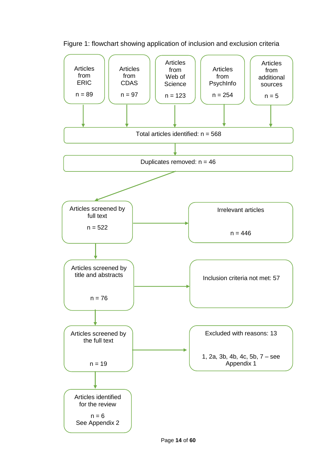

Figure 1: flowchart showing application of inclusion and exclusion criteria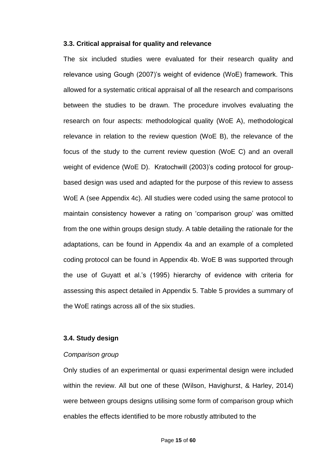#### **3.3. Critical appraisal for quality and relevance**

The six included studies were evaluated for their research quality and relevance using Gough (2007)'s weight of evidence (WoE) framework. This allowed for a systematic critical appraisal of all the research and comparisons between the studies to be drawn. The procedure involves evaluating the research on four aspects: methodological quality (WoE A), methodological relevance in relation to the review question (WoE B), the relevance of the focus of the study to the current review question (WoE C) and an overall weight of evidence (WoE D). Kratochwill (2003)'s coding protocol for groupbased design was used and adapted for the purpose of this review to assess WoE A (see Appendix 4c). All studies were coded using the same protocol to maintain consistency however a rating on 'comparison group' was omitted from the one within groups design study. A table detailing the rationale for the adaptations, can be found in Appendix 4a and an example of a completed coding protocol can be found in Appendix 4b. WoE B was supported through the use of Guyatt et al.'s (1995) hierarchy of evidence with criteria for assessing this aspect detailed in Appendix 5. Table 5 provides a summary of the WoE ratings across all of the six studies.

#### **3.4. Study design**

#### *Comparison group*

Only studies of an experimental or quasi experimental design were included within the review. All but one of these (Wilson, Havighurst, & Harley, 2014) were between groups designs utilising some form of comparison group which enables the effects identified to be more robustly attributed to the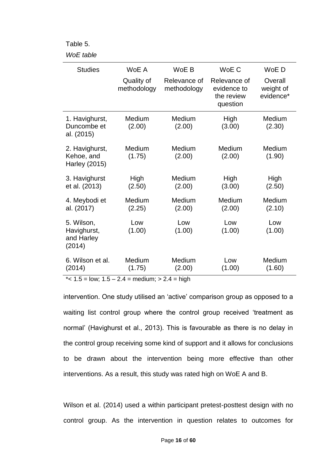Table 5.

#### *WoE table*

| <b>Studies</b>                                    | WoE A                     | WoE B                       | WoE C                                                 | WoE D                             |
|---------------------------------------------------|---------------------------|-----------------------------|-------------------------------------------------------|-----------------------------------|
|                                                   | Quality of<br>methodology | Relevance of<br>methodology | Relevance of<br>evidence to<br>the review<br>question | Overall<br>weight of<br>evidence* |
| 1. Havighurst,<br>Duncombe et<br>al. (2015)       | Medium<br>(2.00)          | Medium<br>(2.00)            | High<br>(3.00)                                        | Medium<br>(2.30)                  |
| 2. Havighurst,<br>Kehoe, and<br>Harley (2015)     | Medium<br>(1.75)          | Medium<br>(2.00)            | Medium<br>(2.00)                                      | Medium<br>(1.90)                  |
| 3. Havighurst<br>et al. (2013)                    | High<br>(2.50)            | Medium<br>(2.00)            | High<br>(3.00)                                        | High<br>(2.50)                    |
| 4. Meybodi et<br>al. (2017)                       | Medium<br>(2.25)          | Medium<br>(2.00)            | Medium<br>(2.00)                                      | Medium<br>(2.10)                  |
| 5. Wilson,<br>Havighurst,<br>and Harley<br>(2014) | Low<br>(1.00)             | Low<br>(1.00)               | Low<br>(1.00)                                         | Low<br>(1.00)                     |
| 6. Wilson et al.<br>(2014)                        | Medium<br>(1.75)          | Medium<br>(2.00)            | Low<br>(1.00)                                         | Medium<br>(1.60)                  |

 $\overline{\phantom{a}}$  \*< 1.5 = low: 1.5 – 2.4 = medium: > 2.4 = high

intervention. One study utilised an 'active' comparison group as opposed to a waiting list control group where the control group received 'treatment as normal' (Havighurst et al., 2013). This is favourable as there is no delay in the control group receiving some kind of support and it allows for conclusions to be drawn about the intervention being more effective than other interventions. As a result, this study was rated high on WoE A and B.

Wilson et al. (2014) used a within participant pretest-posttest design with no control group. As the intervention in question relates to outcomes for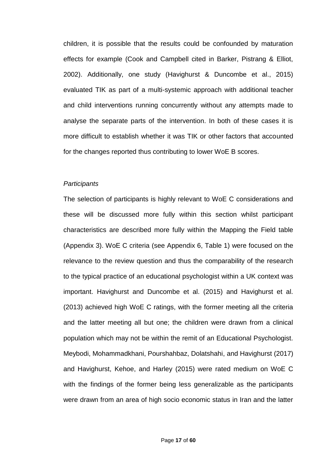children, it is possible that the results could be confounded by maturation effects for example (Cook and Campbell cited in Barker, Pistrang & Elliot, 2002). Additionally, one study (Havighurst & Duncombe et al., 2015) evaluated TIK as part of a multi-systemic approach with additional teacher and child interventions running concurrently without any attempts made to analyse the separate parts of the intervention. In both of these cases it is more difficult to establish whether it was TIK or other factors that accounted for the changes reported thus contributing to lower WoE B scores.

#### *Participants*

The selection of participants is highly relevant to WoE C considerations and these will be discussed more fully within this section whilst participant characteristics are described more fully within the Mapping the Field table (Appendix 3). WoE C criteria (see Appendix 6, Table 1) were focused on the relevance to the review question and thus the comparability of the research to the typical practice of an educational psychologist within a UK context was important. Havighurst and Duncombe et al. (2015) and Havighurst et al. (2013) achieved high WoE C ratings, with the former meeting all the criteria and the latter meeting all but one; the children were drawn from a clinical population which may not be within the remit of an Educational Psychologist. Meybodi, Mohammadkhani, Pourshahbaz, Dolatshahi, and Havighurst (2017) and Havighurst, Kehoe, and Harley (2015) were rated medium on WoE C with the findings of the former being less generalizable as the participants were drawn from an area of high socio economic status in Iran and the latter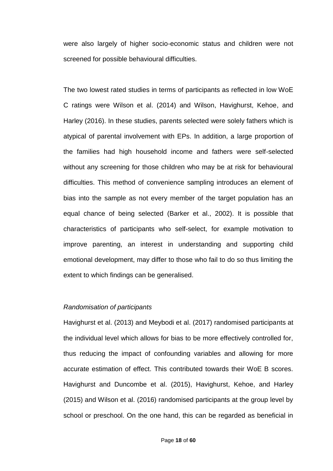were also largely of higher socio-economic status and children were not screened for possible behavioural difficulties.

The two lowest rated studies in terms of participants as reflected in low WoE C ratings were Wilson et al. (2014) and Wilson, Havighurst, Kehoe, and Harley (2016). In these studies, parents selected were solely fathers which is atypical of parental involvement with EPs. In addition, a large proportion of the families had high household income and fathers were self-selected without any screening for those children who may be at risk for behavioural difficulties. This method of convenience sampling introduces an element of bias into the sample as not every member of the target population has an equal chance of being selected (Barker et al., 2002). It is possible that characteristics of participants who self-select, for example motivation to improve parenting, an interest in understanding and supporting child emotional development, may differ to those who fail to do so thus limiting the extent to which findings can be generalised.

#### *Randomisation of participants*

Havighurst et al. (2013) and Meybodi et al. (2017) randomised participants at the individual level which allows for bias to be more effectively controlled for, thus reducing the impact of confounding variables and allowing for more accurate estimation of effect. This contributed towards their WoE B scores. Havighurst and Duncombe et al. (2015), Havighurst, Kehoe, and Harley (2015) and Wilson et al. (2016) randomised participants at the group level by school or preschool. On the one hand, this can be regarded as beneficial in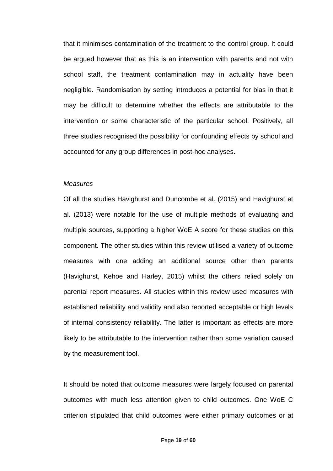that it minimises contamination of the treatment to the control group. It could be argued however that as this is an intervention with parents and not with school staff, the treatment contamination may in actuality have been negligible. Randomisation by setting introduces a potential for bias in that it may be difficult to determine whether the effects are attributable to the intervention or some characteristic of the particular school. Positively, all three studies recognised the possibility for confounding effects by school and accounted for any group differences in post-hoc analyses.

#### *Measures*

Of all the studies Havighurst and Duncombe et al. (2015) and Havighurst et al. (2013) were notable for the use of multiple methods of evaluating and multiple sources, supporting a higher WoE A score for these studies on this component. The other studies within this review utilised a variety of outcome measures with one adding an additional source other than parents (Havighurst, Kehoe and Harley, 2015) whilst the others relied solely on parental report measures. All studies within this review used measures with established reliability and validity and also reported acceptable or high levels of internal consistency reliability. The latter is important as effects are more likely to be attributable to the intervention rather than some variation caused by the measurement tool.

It should be noted that outcome measures were largely focused on parental outcomes with much less attention given to child outcomes. One WoE C criterion stipulated that child outcomes were either primary outcomes or at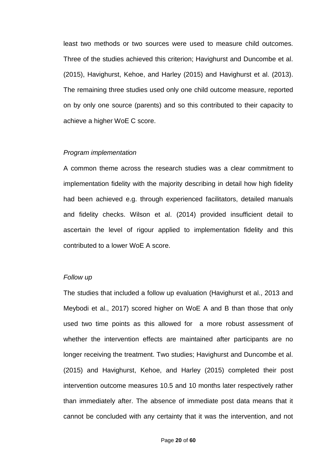least two methods or two sources were used to measure child outcomes. Three of the studies achieved this criterion; Havighurst and Duncombe et al. (2015), Havighurst, Kehoe, and Harley (2015) and Havighurst et al. (2013). The remaining three studies used only one child outcome measure, reported on by only one source (parents) and so this contributed to their capacity to achieve a higher WoE C score.

#### *Program implementation*

A common theme across the research studies was a clear commitment to implementation fidelity with the majority describing in detail how high fidelity had been achieved e.g. through experienced facilitators, detailed manuals and fidelity checks. Wilson et al. (2014) provided insufficient detail to ascertain the level of rigour applied to implementation fidelity and this contributed to a lower WoE A score.

#### *Follow up*

The studies that included a follow up evaluation (Havighurst et al., 2013 and Meybodi et al., 2017) scored higher on WoE A and B than those that only used two time points as this allowed for a more robust assessment of whether the intervention effects are maintained after participants are no longer receiving the treatment. Two studies; Havighurst and Duncombe et al. (2015) and Havighurst, Kehoe, and Harley (2015) completed their post intervention outcome measures 10.5 and 10 months later respectively rather than immediately after. The absence of immediate post data means that it cannot be concluded with any certainty that it was the intervention, and not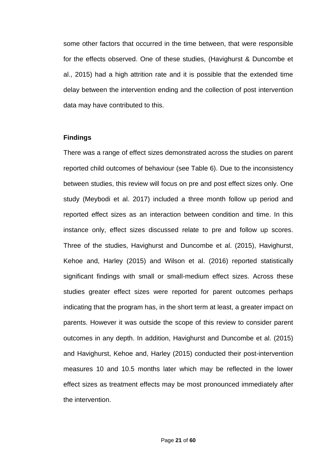some other factors that occurred in the time between, that were responsible for the effects observed. One of these studies, (Havighurst & Duncombe et al., 2015) had a high attrition rate and it is possible that the extended time delay between the intervention ending and the collection of post intervention data may have contributed to this.

### **Findings**

There was a range of effect sizes demonstrated across the studies on parent reported child outcomes of behaviour (see Table 6). Due to the inconsistency between studies, this review will focus on pre and post effect sizes only. One study (Meybodi et al. 2017) included a three month follow up period and reported effect sizes as an interaction between condition and time. In this instance only, effect sizes discussed relate to pre and follow up scores. Three of the studies, Havighurst and Duncombe et al. (2015), Havighurst, Kehoe and, Harley (2015) and Wilson et al. (2016) reported statistically significant findings with small or small-medium effect sizes. Across these studies greater effect sizes were reported for parent outcomes perhaps indicating that the program has, in the short term at least, a greater impact on parents. However it was outside the scope of this review to consider parent outcomes in any depth. In addition, Havighurst and Duncombe et al. (2015) and Havighurst, Kehoe and, Harley (2015) conducted their post-intervention measures 10 and 10.5 months later which may be reflected in the lower effect sizes as treatment effects may be most pronounced immediately after the intervention.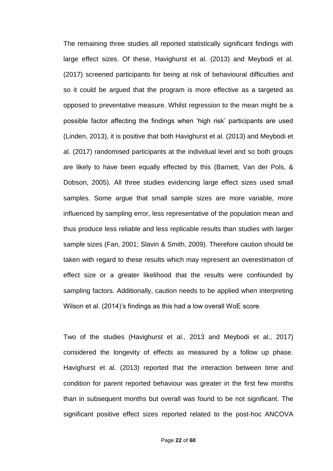The remaining three studies all reported statistically significant findings with large effect sizes. Of these, Havighurst et al. (2013) and Meybodi et al. (2017) screened participants for being at risk of behavioural difficulties and so it could be argued that the program is more effective as a targeted as opposed to preventative measure. Whilst regression to the mean might be a possible factor affecting the findings when 'high risk' participants are used (Linden, 2013), it is positive that both Havighurst et al. (2013) and Meybodi et al. (2017) randomised participants at the individual level and so both groups are likely to have been equally effected by this (Barnett, Van der Pols, & Dobson, 2005). All three studies evidencing large effect sizes used small samples. Some argue that small sample sizes are more variable, more influenced by sampling error, less representative of the population mean and thus produce less reliable and less replicable results than studies with larger sample sizes (Fan, 2001; Slavin & Smith, 2009). Therefore caution should be taken with regard to these results which may represent an overestimation of effect size or a greater likelihood that the results were confounded by sampling factors. Additionally, caution needs to be applied when interpreting Wilson et al. (2014)'s findings as this had a low overall WoE score.

Two of the studies (Havighurst et al., 2013 and Meybodi et al., 2017) considered the longevity of effects as measured by a follow up phase. Havighurst et al. (2013) reported that the interaction between time and condition for parent reported behaviour was greater in the first few months than in subsequent months but overall was found to be not significant. The significant positive effect sizes reported related to the post-hoc ANCOVA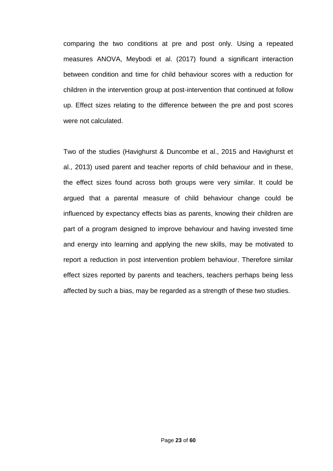comparing the two conditions at pre and post only. Using a repeated measures ANOVA, Meybodi et al. (2017) found a significant interaction between condition and time for child behaviour scores with a reduction for children in the intervention group at post-intervention that continued at follow up. Effect sizes relating to the difference between the pre and post scores were not calculated.

Two of the studies (Havighurst & Duncombe et al., 2015 and Havighurst et al., 2013) used parent and teacher reports of child behaviour and in these, the effect sizes found across both groups were very similar. It could be argued that a parental measure of child behaviour change could be influenced by expectancy effects bias as parents, knowing their children are part of a program designed to improve behaviour and having invested time and energy into learning and applying the new skills, may be motivated to report a reduction in post intervention problem behaviour. Therefore similar effect sizes reported by parents and teachers, teachers perhaps being less affected by such a bias, may be regarded as a strength of these two studies.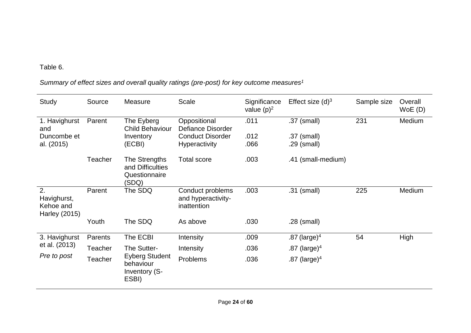# Table 6.

# *Summary of effect sizes and overall quality ratings (pre-post) for key outcome measures<sup>1</sup>*

| Study                                           | Source  | Measure                                                                     | Scale                                                 | Significance<br>value $(p)^2$ | Effect size $(d)^3$ | Sample size | Overall<br>WoE(D) |
|-------------------------------------------------|---------|-----------------------------------------------------------------------------|-------------------------------------------------------|-------------------------------|---------------------|-------------|-------------------|
| 1. Havighurst<br>and                            | Parent  | The Eyberg<br><b>Child Behaviour</b>                                        | Oppositional<br>Defiance Disorder                     | .011                          | .37 (small)         | 231         | Medium            |
| Duncombe et                                     |         | Inventory                                                                   | <b>Conduct Disorder</b>                               | .012                          | .37 (small)         |             |                   |
| al. (2015)                                      |         | (ECBI)                                                                      | <b>Hyperactivity</b>                                  | .066                          | $.29$ (small)       |             |                   |
|                                                 | Teacher | The Strengths<br>and Difficulties<br>Questionnaire<br>(SDQ)                 | <b>Total score</b>                                    | .003                          | .41 (small-medium)  |             |                   |
| 2.<br>Havighurst,<br>Kehoe and<br>Harley (2015) | Parent  | The SDQ                                                                     | Conduct problems<br>and hyperactivity-<br>inattention | .003                          | .31 (small)         | 225         | Medium            |
|                                                 | Youth   | The SDQ                                                                     | As above                                              | .030                          | $.28$ (small)       |             |                   |
| 3. Havighurst                                   | Parents | The ECBI                                                                    | Intensity                                             | .009                          | .87 (large) $4$     | 54          | High              |
| et al. (2013)<br>Pre to post                    | Teacher | The Sutter-<br><b>Eyberg Student</b><br>behaviour<br>Inventory (S-<br>ESBI) | Intensity                                             | .036                          | .87 (large) $4$     |             |                   |
|                                                 | Teacher |                                                                             | Problems                                              | .036                          | .87 (large) $4$     |             |                   |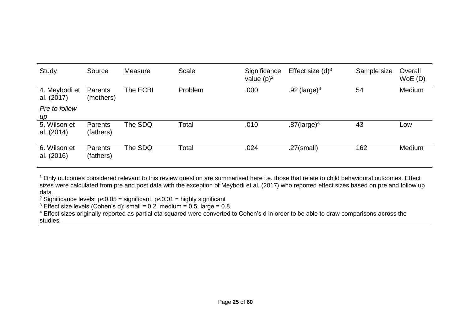| Study                       | Source                      | Measure  | <b>Scale</b> | Significance<br>value $(p)^2$ | Effect size $(d)^3$        | Sample size | Overall<br>WoE(D) |
|-----------------------------|-----------------------------|----------|--------------|-------------------------------|----------------------------|-------------|-------------------|
| 4. Meybodi et<br>al. (2017) | Parents<br>(mothers)        | The ECBI | Problem      | .000                          | .92 (large) <sup>4</sup>   | 54          | Medium            |
| Pre to follow<br>$\mu$      |                             |          |              |                               |                            |             |                   |
| 5. Wilson et<br>al. (2014)  | Parents<br>(fathers)        | The SDQ  | Total        | .010                          | $.87$ (large) <sup>4</sup> | 43          | Low               |
| 6. Wilson et<br>al. (2016)  | <b>Parents</b><br>(fathers) | The SDQ  | Total        | .024                          | $.27$ (small)              | 162         | Medium            |

<sup>1</sup> Only outcomes considered relevant to this review question are summarised here i.e. those that relate to child behavioural outcomes. Effect sizes were calculated from pre and post data with the exception of Meybodi et al. (2017) who reported effect sizes based on pre and follow up data.

<sup>2</sup> Significance levels:  $p < 0.05$  = significant,  $p < 0.01$  = highly significant

<sup>3</sup> Effect size levels (Cohen's d): small = 0.2, medium = 0.5, large = 0.8.

<sup>4</sup> Effect sizes originally reported as partial eta squared were converted to Cohen's d in order to be able to draw comparisons across the studies.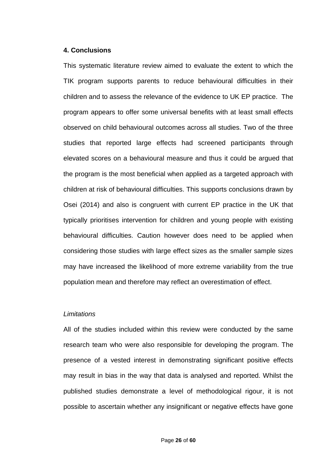#### **4. Conclusions**

This systematic literature review aimed to evaluate the extent to which the TIK program supports parents to reduce behavioural difficulties in their children and to assess the relevance of the evidence to UK EP practice. The program appears to offer some universal benefits with at least small effects observed on child behavioural outcomes across all studies. Two of the three studies that reported large effects had screened participants through elevated scores on a behavioural measure and thus it could be argued that the program is the most beneficial when applied as a targeted approach with children at risk of behavioural difficulties. This supports conclusions drawn by Osei (2014) and also is congruent with current EP practice in the UK that typically prioritises intervention for children and young people with existing behavioural difficulties. Caution however does need to be applied when considering those studies with large effect sizes as the smaller sample sizes may have increased the likelihood of more extreme variability from the true population mean and therefore may reflect an overestimation of effect.

#### *Limitations*

All of the studies included within this review were conducted by the same research team who were also responsible for developing the program. The presence of a vested interest in demonstrating significant positive effects may result in bias in the way that data is analysed and reported. Whilst the published studies demonstrate a level of methodological rigour, it is not possible to ascertain whether any insignificant or negative effects have gone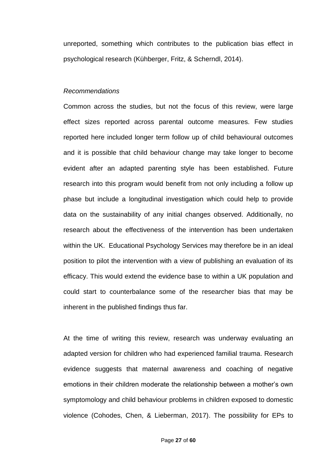unreported, something which contributes to the publication bias effect in psychological research (Kühberger, Fritz, & Scherndl, 2014).

#### *Recommendations*

Common across the studies, but not the focus of this review, were large effect sizes reported across parental outcome measures. Few studies reported here included longer term follow up of child behavioural outcomes and it is possible that child behaviour change may take longer to become evident after an adapted parenting style has been established. Future research into this program would benefit from not only including a follow up phase but include a longitudinal investigation which could help to provide data on the sustainability of any initial changes observed. Additionally, no research about the effectiveness of the intervention has been undertaken within the UK. Educational Psychology Services may therefore be in an ideal position to pilot the intervention with a view of publishing an evaluation of its efficacy. This would extend the evidence base to within a UK population and could start to counterbalance some of the researcher bias that may be inherent in the published findings thus far.

At the time of writing this review, research was underway evaluating an adapted version for children who had experienced familial trauma. Research evidence suggests that maternal awareness and coaching of negative emotions in their children moderate the relationship between a mother's own symptomology and child behaviour problems in children exposed to domestic violence (Cohodes, Chen, & Lieberman, 2017). The possibility for EPs to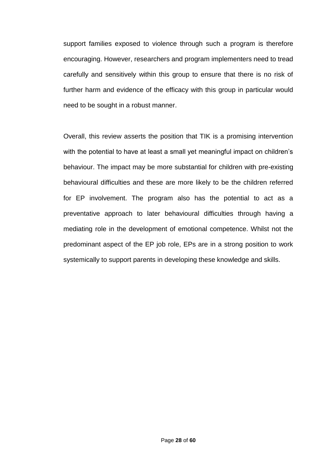support families exposed to violence through such a program is therefore encouraging. However, researchers and program implementers need to tread carefully and sensitively within this group to ensure that there is no risk of further harm and evidence of the efficacy with this group in particular would need to be sought in a robust manner.

Overall, this review asserts the position that TIK is a promising intervention with the potential to have at least a small yet meaningful impact on children's behaviour. The impact may be more substantial for children with pre-existing behavioural difficulties and these are more likely to be the children referred for EP involvement. The program also has the potential to act as a preventative approach to later behavioural difficulties through having a mediating role in the development of emotional competence. Whilst not the predominant aspect of the EP job role, EPs are in a strong position to work systemically to support parents in developing these knowledge and skills.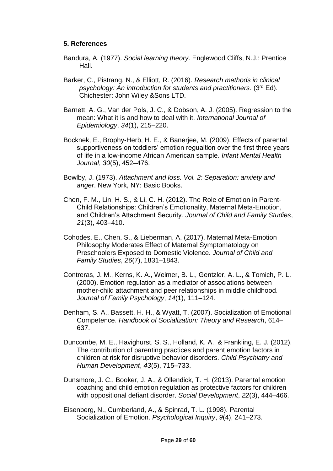## **5. References**

- Bandura, A. (1977). *Social learning theory*. Englewood Cliffs, N.J.: Prentice Hall.
- Barker, C., Pistrang, N., & Elliott, R. (2016). *Research methods in clinical psychology: An introduction for students and practitioners*. (3rd Ed). Chichester: John Wiley &Sons LTD.
- Barnett, A. G., Van der Pols, J. C., & Dobson, A. J. (2005). Regression to the mean: What it is and how to deal with it. *International Journal of Epidemiology*, *34*(1), 215–220.
- Bocknek, E., Brophy-Herb, H. E., & Banerjee, M. (2009). Effects of parental supportiveness on toddlers' emotion regualtion over the first three years of life in a low-income African American sample. *Infant Mental Health Journal*, *30*(5), 452–476.
- Bowlby, J. (1973). *Attachment and loss. Vol. 2: Separation: anxiety and anger*. New York, NY: Basic Books.
- Chen, F. M., Lin, H. S., & Li, C. H. (2012). The Role of Emotion in Parent-Child Relationships: Children's Emotionality, Maternal Meta-Emotion, and Children's Attachment Security. *Journal of Child and Family Studies*, *21*(3), 403–410.
- Cohodes, E., Chen, S., & Lieberman, A. (2017). Maternal Meta-Emotion Philosophy Moderates Effect of Maternal Symptomatology on Preschoolers Exposed to Domestic Violence. *Journal of Child and Family Studies*, *26*(7), 1831–1843.
- Contreras, J. M., Kerns, K. A., Weimer, B. L., Gentzler, A. L., & Tomich, P. L. (2000). Emotion regulation as a mediator of associations between mother-child attachment and peer relationships in middle childhood. *Journal of Family Psychology*, *14*(1), 111–124.
- Denham, S. A., Bassett, H. H., & Wyatt, T. (2007). Socialization of Emotional Competence. *Handbook of Socialization: Theory and Research*, 614– 637.
- Duncombe, M. E., Havighurst, S. S., Holland, K. A., & Frankling, E. J. (2012). The contribution of parenting practices and parent emotion factors in children at risk for disruptive behavior disorders. *Child Psychiatry and Human Development*, *43*(5), 715–733.
- Dunsmore, J. C., Booker, J. A., & Ollendick, T. H. (2013). Parental emotion coaching and child emotion regulation as protective factors for children with oppositional defiant disorder. *Social Development*, *22*(3), 444–466.
- Eisenberg, N., Cumberland, A., & Spinrad, T. L. (1998). Parental Socialization of Emotion. *Psychological Inquiry*, *9*(4), 241–273.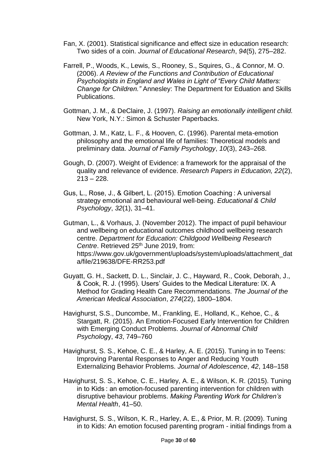- Fan, X. (2001). Statistical significance and effect size in education research: Two sides of a coin. *Journal of Educational Research*, *94*(5), 275–282.
- Farrell, P., Woods, K., Lewis, S., Rooney, S., Squires, G., & Connor, M. O. (2006). *A Review of the Functions and Contribution of Educational Psychologists in England and Wales in Light of "Every Child Matters: Change for Children."* Annesley: The Department for Eduation and Skills Publications.
- Gottman, J. M., & DeClaire, J. (1997). *Raising an emotionally intelligent child.* New York, N.Y.: Simon & Schuster Paperbacks.
- Gottman, J. M., Katz, L. F., & Hooven, C. (1996). Parental meta-emotion philosophy and the emotional life of families: Theoretical models and preliminary data. *Journal of Family Psychology*, *10*(3), 243–268.
- Gough, D. (2007). Weight of Evidence: a framework for the appraisal of the quality and relevance of evidence. *Research Papers in Education, 22*(2),  $213 - 228$ .
- Gus, L., Rose, J., & Gilbert, L. (2015). Emotion Coaching : A universal strategy emotional and behavioural well-being. *Educational & Child Psychology*, *32*(1), 31–41.

Gutman, L., & Vorhaus, J. (November 2012). The impact of pupil behaviour and wellbeing on educational outcomes childhood wellbeing research centre. *Department for Education: Childgood Wellbeing Research Centre.* Retrieved 25<sup>th</sup> June 2019, from: https://www.gov.uk/government/uploads/system/uploads/attachment\_dat a/file/219638/DFE-RR253.pdf

- Guyatt, G. H., Sackett, D. L., Sinclair, J. C., Hayward, R., Cook, Deborah, J., & Cook, R. J. (1995). Users' Guides to the Medical Literature: IX. A Method for Grading Health Care Recommendations. *The Journal of the American Medical Association*, *274*(22), 1800–1804.
- Havighurst, S.S., Duncombe, M., Frankling, E., Holland, K., Kehoe, C., & Stargatt, R. (2015). An Emotion-Focused Early Intervention for Children with Emerging Conduct Problems. *Journal of Abnormal Child Psycholog*y, *43*, 749–760
- Havighurst, S. S., Kehoe, C. E., & Harley, A. E. (2015). Tuning in to Teens: Improving Parental Responses to Anger and Reducing Youth Externalizing Behavior Problems. *Journal of Adolescence*, *42*, 148–158
- Havighurst, S. S., Kehoe, C. E., Harley, A. E., & Wilson, K. R. (2015). Tuning in to Kids : an emotion-focused parenting intervention for children with disruptive behaviour problems. *Making Parenting Work for Children's Mental Health*, 41–50.
- Havighurst, S. S., Wilson, K. R., Harley, A. E., & Prior, M. R. (2009). Tuning in to Kids: An emotion focused parenting program - initial findings from a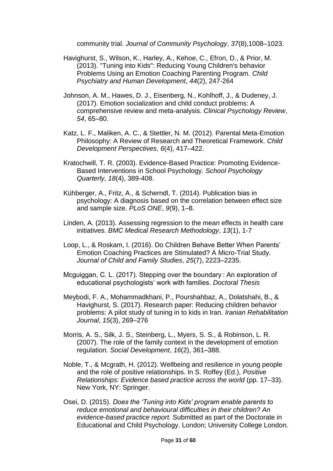community trial. *Journal of Community Psychology*, *37*(8),1008–1023.

- Havighurst, S., Wilson, K., Harley, A., Kehoe, C., Efron, D., & Prior, M. (2013). "Tuning into Kids": Reducing Young Children's behavior Problems Using an Emotion Coaching Parenting Program. *Child Psychiatry and Human Development*, *44*(2), 247-264
- Johnson, A. M., Hawes, D. J., Eisenberg, N., Kohlhoff, J., & Dudeney, J. (2017). Emotion socialization and child conduct problems: A comprehensive review and meta-analysis. *Clinical Psychology Review*, *54*, 65–80.
- Katz, L. F., Maliken, A. C., & Stettler, N. M. (2012). Parental Meta-Emotion Philosophy: A Review of Research and Theoretical Framework. *Child Development Perspectives*, *6*(4), 417–422.
- Kratochwill, T. R. (2003). Evidence-Based Practice: Promoting Evidence-Based Interventions in School Psychology. *School Psychology Quarterly, 18*(4), 389-408.
- Kühberger, A., Fritz, A., & Scherndl, T. (2014). Publication bias in psychology: A diagnosis based on the correlation between effect size and sample size. *PLoS ONE*, *9*(9), 1–8.
- Linden, A. (2013). Assessing regression to the mean effects in health care initiatives. *BMC Medical Research Methodology*, *13*(1), 1-7
- Loop, L., & Roskam, I. (2016). Do Children Behave Better When Parents' Emotion Coaching Practices are Stimulated? A Micro-Trial Study. *Journal of Child and Family Studies*, *25*(7), 2223–2235.
- Mcguiggan, C. L. (2017). Stepping over the boundary : An exploration of educational psychologists' work with families. *Doctoral Thesis*
- Meybodi, F. A., Mohammadkhani, P., Pourshahbaz, A., Dolatshahi, B., & Havighurst, S. (2017). Research paper: Reducing children behavior problems: A pilot study of tuning in to kids in Iran. *Iranian Rehabilitation Journal*, *15*(3), 269–276
- Morris, A. S., Silk, J. S., Steinberg, L., Myers, S. S., & Robinson, L. R. (2007). The role of the family context in the development of emotion regulation. *Social Development*, *16*(2), 361–388.
- Noble, T., & Mcgrath, H. (2012). Wellbeing and resilience in young people and the role of positive relationships. In S. Roffey (Ed.), *Positive Relationships: Evidence based practice across the world* (pp. 17–33). New York, NY: Springer.
- Osei, D. (2015). *Does the 'Tuning into Kids' program enable parents to reduce emotional and behavioural difficulties in their children? An evidence-based practice report.* Submitted as part of the Doctorate in Educational and Child Psychology. London; University College London.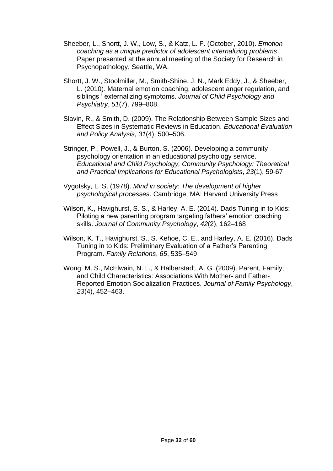- Sheeber, L., Shortt, J. W., Low, S., & Katz, L. F. (October, 2010). *Emotion coaching as a unique predictor of adolescent internalizing problems*. Paper presented at the annual meeting of the Society for Research in Psychopathology, Seattle, WA.
- Shortt, J. W., Stoolmiller, M., Smith-Shine, J. N., Mark Eddy, J., & Sheeber, L. (2010). Maternal emotion coaching, adolescent anger regulation, and siblings ' externalizing symptoms. *Journal of Child Psychology and Psychiatry*, *51*(7), 799–808.
- Slavin, R., & Smith, D. (2009). The Relationship Between Sample Sizes and Effect Sizes in Systematic Reviews in Education. *Educational Evaluation and Policy Analysis*, *31*(4), 500–506.
- Stringer, P., Powell, J., & Burton, S. (2006). Developing a community psychology orientation in an educational psychology service. *Educational and Child Psychology, Community Psychology: Theoretical and Practical Implications for Educational Psychologists*, *23*(1), 59-67
- Vygotsky, L. S. (1978). *[Mind in society: The development of higher](http://ouleft.org/wp-content/uploads/Vygotsky-Mind-in-Society.pdf)  [psychological processes](http://ouleft.org/wp-content/uploads/Vygotsky-Mind-in-Society.pdf)*. Cambridge, MA: Harvard University Press
- Wilson, K., Havighurst, S. S., & Harley, A. E. (2014). Dads Tuning in to Kids: Piloting a new parenting program targeting fathers' emotion coaching skills. *Journal of Community Psychology*, *42*(2), 162–168
- Wilson, K. T., Havighurst, S., S. Kehoe, C. E., and Harley, A. E. (2016). Dads Tuning in to Kids: Preliminary Evaluation of a Father's Parenting Program. *Family Relations*, *65*, 535–549
- Wong, M. S., McElwain, N. L., & Halberstadt, A. G. (2009). Parent, Family, and Child Characteristics: Associations With Mother- and Father-Reported Emotion Socialization Practices. *Journal of Family Psychology*, *23*(4), 452–463.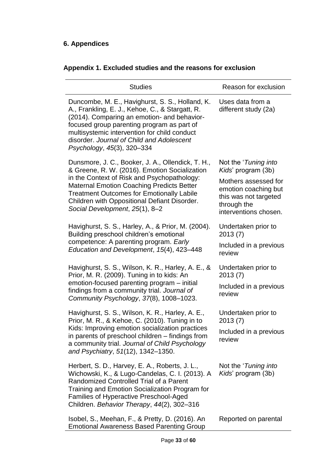# **6. Appendices**

| <b>Studies</b>                                                                                                                                                                                                                                                                                                                              | Reason for exclusion                                                                                                                                                |
|---------------------------------------------------------------------------------------------------------------------------------------------------------------------------------------------------------------------------------------------------------------------------------------------------------------------------------------------|---------------------------------------------------------------------------------------------------------------------------------------------------------------------|
| Duncombe, M. E., Havighurst, S. S., Holland, K.<br>A., Frankling, E. J., Kehoe, C., & Stargatt, R.<br>(2014). Comparing an emotion- and behavior-<br>focused group parenting program as part of<br>multisystemic intervention for child conduct<br>disorder. Journal of Child and Adolescent<br>Psychology, 45(3), 320-334                  | Uses data from a<br>different study (2a)                                                                                                                            |
| Dunsmore, J. C., Booker, J. A., Ollendick, T. H.,<br>& Greene, R. W. (2016). Emotion Socialization<br>in the Context of Risk and Psychopathology:<br><b>Maternal Emotion Coaching Predicts Better</b><br><b>Treatment Outcomes for Emotionally Labile</b><br>Children with Oppositional Defiant Disorder.<br>Social Development, 25(1), 8-2 | Not the ' <i>Tuning into</i><br>Kids' program (3b)<br>Mothers assessed for<br>emotion coaching but<br>this was not targeted<br>through the<br>interventions chosen. |
| Havighurst, S. S., Harley, A., & Prior, M. (2004).<br>Building preschool children's emotional<br>competence: A parenting program. Early<br>Education and Development, 15(4), 423-448                                                                                                                                                        | Undertaken prior to<br>2013(7)<br>Included in a previous<br>review                                                                                                  |
| Havighurst, S. S., Wilson, K. R., Harley, A. E., &<br>Prior, M. R. (2009). Tuning in to kids: An<br>emotion-focused parenting program – initial<br>findings from a community trial. Journal of<br>Community Psychology, 37(8), 1008-1023.                                                                                                   | Undertaken prior to<br>2013(7)<br>Included in a previous<br>review                                                                                                  |
| Havighurst, S. S., Wilson, K. R., Harley, A. E.,<br>Prior, M. R., & Kehoe, C. (2010). Tuning in to<br>Kids: Improving emotion socialization practices<br>in parents of preschool children - findings from<br>a community trial. Journal of Child Psychology<br>and Psychiatry, 51(12), 1342-1350.                                           | Undertaken prior to<br>2013(7)<br>Included in a previous<br>review                                                                                                  |
| Herbert, S. D., Harvey, E. A., Roberts, J. L.,<br>Wichowski, K., & Lugo-Candelas, C. I. (2013). A<br>Randomized Controlled Trial of a Parent<br>Training and Emotion Socialization Program for<br>Families of Hyperactive Preschool-Aged<br>Children. Behavior Therapy, 44(2), 302-316                                                      | Not the ' <i>Tuning into</i><br>Kids' program (3b)                                                                                                                  |
| Isobel, S., Meehan, F., & Pretty, D. (2016). An<br><b>Emotional Awareness Based Parenting Group</b>                                                                                                                                                                                                                                         | Reported on parental                                                                                                                                                |

# **Appendix 1. Excluded studies and the reasons for exclusion**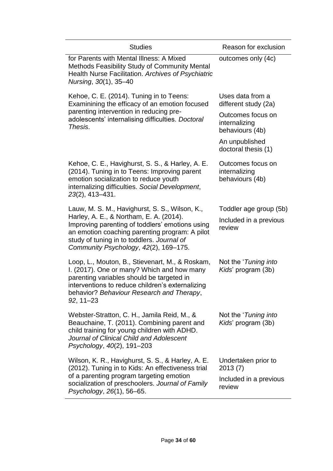| outcomes only (4c)                                                 |
|--------------------------------------------------------------------|
|                                                                    |
| Uses data from a<br>different study (2a)                           |
| Outcomes focus on<br>internalizing<br>behaviours (4b)              |
| An unpublished<br>doctoral thesis (1)                              |
| Outcomes focus on<br>internalizing<br>behaviours (4b)              |
| Toddler age group (5b)<br>Included in a previous<br>review         |
| Not the ' <i>Tuning into</i><br>Kids' program (3b)                 |
| Not the ' <i>Tuning into</i><br>Kids' program (3b)                 |
| Undertaken prior to<br>2013(7)<br>Included in a previous<br>review |
|                                                                    |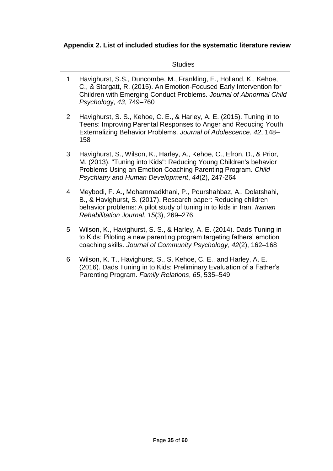# **Appendix 2. List of included studies for the systematic literature review**

|                | <b>Studies</b>                                                                                                                                                                                                                                                 |
|----------------|----------------------------------------------------------------------------------------------------------------------------------------------------------------------------------------------------------------------------------------------------------------|
| $\mathbf 1$    | Havighurst, S.S., Duncombe, M., Frankling, E., Holland, K., Kehoe,<br>C., & Stargatt, R. (2015). An Emotion-Focused Early Intervention for<br>Children with Emerging Conduct Problems. Journal of Abnormal Child<br>Psychology, 43, 749-760                    |
| $\overline{2}$ | Havighurst, S. S., Kehoe, C. E., & Harley, A. E. (2015). Tuning in to<br>Teens: Improving Parental Responses to Anger and Reducing Youth<br>Externalizing Behavior Problems. Journal of Adolescence, 42, 148-<br>158                                           |
| 3              | Havighurst, S., Wilson, K., Harley, A., Kehoe, C., Efron, D., & Prior,<br>M. (2013). "Tuning into Kids": Reducing Young Children's behavior<br>Problems Using an Emotion Coaching Parenting Program. Child<br>Psychiatry and Human Development, 44(2), 247-264 |
| 4              | Meybodi, F. A., Mohammadkhani, P., Pourshahbaz, A., Dolatshahi,<br>B., & Havighurst, S. (2017). Research paper: Reducing children<br>behavior problems: A pilot study of tuning in to kids in Iran. Iranian<br>Rehabilitation Journal, 15(3), 269-276.         |
| 5              | Wilson, K., Havighurst, S. S., & Harley, A. E. (2014). Dads Tuning in<br>to Kids: Piloting a new parenting program targeting fathers' emotion<br>coaching skills. Journal of Community Psychology, 42(2), 162-168                                              |
| 6              | Wilson, K. T., Havighurst, S., S. Kehoe, C. E., and Harley, A. E.<br>(2016). Dads Tuning in to Kids: Preliminary Evaluation of a Father's<br>Parenting Program. Family Relations, 65, 535-549                                                                  |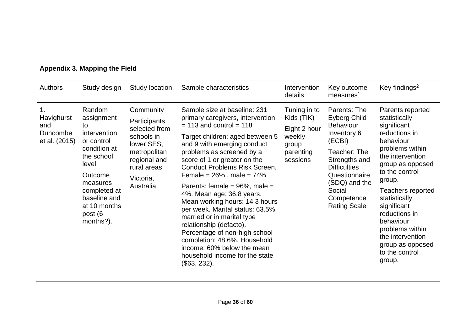| Authors                                              | Study design                                                                                                                                                                                    | <b>Study location</b>                                                                                                                            | Sample characteristics                                                                                                                                                                                                                                                                                                                                                                                                                                                                                                                                                                                                                                   | Intervention<br>details                                                                | Key outcome<br>measures <sup>1</sup>                                                                                                                                                                               | Key findings <sup>2</sup>                                                                                                                                                                                                                                                                                                                       |
|------------------------------------------------------|-------------------------------------------------------------------------------------------------------------------------------------------------------------------------------------------------|--------------------------------------------------------------------------------------------------------------------------------------------------|----------------------------------------------------------------------------------------------------------------------------------------------------------------------------------------------------------------------------------------------------------------------------------------------------------------------------------------------------------------------------------------------------------------------------------------------------------------------------------------------------------------------------------------------------------------------------------------------------------------------------------------------------------|----------------------------------------------------------------------------------------|--------------------------------------------------------------------------------------------------------------------------------------------------------------------------------------------------------------------|-------------------------------------------------------------------------------------------------------------------------------------------------------------------------------------------------------------------------------------------------------------------------------------------------------------------------------------------------|
| 1.<br>Havighurst<br>and<br>Duncombe<br>et al. (2015) | Random<br>assignment<br>to<br>intervention<br>or control<br>condition at<br>the school<br>level.<br>Outcome<br>measures<br>completed at<br>baseline and<br>at 10 months<br>post (6<br>months?). | Community<br>Participants<br>selected from<br>schools in<br>lower SES,<br>metropolitan<br>regional and<br>rural areas.<br>Victoria,<br>Australia | Sample size at baseline: 231<br>primary caregivers, intervention<br>$= 113$ and control $= 118$<br>Target children: aged between 5<br>and 9 with emerging conduct<br>problems as screened by a<br>score of 1 or greater on the<br><b>Conduct Problems Risk Screen.</b><br>Female = $26%$ , male = $74%$<br>Parents: female = $96\%$ , male =<br>4%. Mean age: 36.8 years.<br>Mean working hours: 14.3 hours<br>per week. Marital status: 63.5%<br>married or in marital type<br>relationship (defacto).<br>Percentage of non-high school<br>completion: 48.6%. Household<br>income: 60% below the mean<br>household income for the state<br>(\$63, 232). | Tuning in to<br>Kids (TIK)<br>Eight 2 hour<br>weekly<br>group<br>parenting<br>sessions | Parents: The<br>Eyberg Child<br><b>Behaviour</b><br>Inventory 6<br>(ECBI)<br>Teacher: The<br>Strengths and<br><b>Difficulties</b><br>Questionnaire<br>(SDQ) and the<br>Social<br>Competence<br><b>Rating Scale</b> | Parents reported<br>statistically<br>significant<br>reductions in<br>behaviour<br>problems within<br>the intervention<br>group as opposed<br>to the control<br>group.<br>Teachers reported<br>statistically<br>significant<br>reductions in<br>behaviour<br>problems within<br>the intervention<br>group as opposed<br>to the control<br>group. |

# **Appendix 3. Mapping the Field**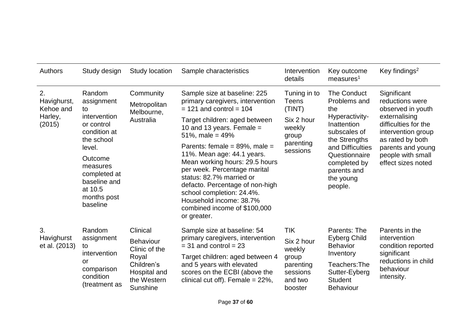| <b>Authors</b>                 | Study design                                                                                                                                                                                        | Study location              | Sample characteristics                                                                                                                                                                                                                                             | Intervention<br>details                              | Key outcome<br>measures <sup>1</sup>                                                                                                                           | Key findings <sup>2</sup>                                                                                                                       |                                    |                                                     |
|--------------------------------|-----------------------------------------------------------------------------------------------------------------------------------------------------------------------------------------------------|-----------------------------|--------------------------------------------------------------------------------------------------------------------------------------------------------------------------------------------------------------------------------------------------------------------|------------------------------------------------------|----------------------------------------------------------------------------------------------------------------------------------------------------------------|-------------------------------------------------------------------------------------------------------------------------------------------------|------------------------------------|-----------------------------------------------------|
| 2.<br>Havighurst,<br>Kehoe and | Random<br>assignment<br>to<br>intervention<br>or control<br>condition at<br>the school<br>level.                                                                                                    |                             |                                                                                                                                                                                                                                                                    | Community<br>Metropolitan<br>Melbourne,              | Sample size at baseline: 225<br>primary caregivers, intervention<br>$= 121$ and control $= 104$                                                                | Tuning in to<br><b>Teens</b><br>(TINT)                                                                                                          | The Conduct<br>Problems and<br>the | Significant<br>reductions were<br>observed in youth |
| Harley,<br>(2015)              |                                                                                                                                                                                                     | Australia                   | Target children: aged between<br>10 and 13 years. Female $=$<br>51%, male = $49%$                                                                                                                                                                                  | Six 2 hour<br>weekly<br>group                        | Hyperactivity-<br>Inattention<br>subscales of<br>the Strengths<br>and Difficulties<br>Questionnaire<br>completed by<br>parents and<br>the young<br>people.     | externalising<br>difficulties for the<br>intervention group<br>as rated by both<br>parents and young<br>people with small<br>effect sizes noted |                                    |                                                     |
|                                |                                                                                                                                                                                                     |                             | Parents: female = $89\%$ , male =                                                                                                                                                                                                                                  | parenting<br>sessions                                |                                                                                                                                                                |                                                                                                                                                 |                                    |                                                     |
|                                | Outcome<br>measures<br>completed at<br>baseline and<br>at 10.5<br>months post<br>baseline                                                                                                           |                             | 11%. Mean age: 44.1 years.<br>Mean working hours: 29.5 hours<br>per week. Percentage marital<br>status: 82.7% married or<br>defacto. Percentage of non-high<br>school completion: 24.4%.<br>Household income: 38.7%<br>combined income of \$100,000<br>or greater. |                                                      |                                                                                                                                                                |                                                                                                                                                 |                                    |                                                     |
| 3.                             | Clinical<br>Random<br>assignment<br><b>Behaviour</b><br>to<br>Clinic of the<br>intervention<br>Royal<br>or<br>Children's<br>comparison<br>Hospital and<br>condition<br>the Western<br>(treatment as | Sample size at baseline: 54 | <b>TIK</b><br>Parents: The                                                                                                                                                                                                                                         | Parents in the                                       |                                                                                                                                                                |                                                                                                                                                 |                                    |                                                     |
| Havighurst<br>et al. (2013)    |                                                                                                                                                                                                     |                             | primary caregivers, intervention<br>$=$ 31 and control $=$ 23                                                                                                                                                                                                      | Six 2 hour<br>weekly                                 | <b>Eyberg Child</b><br><b>Behavior</b><br>significant<br>Inventory<br>Teachers: The<br>behaviour<br>Sutter-Eyberg<br>intensity.<br><b>Student</b><br>Behaviour | intervention<br>condition reported                                                                                                              |                                    |                                                     |
|                                |                                                                                                                                                                                                     | <b>Sunshine</b>             | Target children: aged between 4<br>and 5 years with elevated<br>scores on the ECBI (above the<br>clinical cut off). Female = $22\%$ ,                                                                                                                              | group<br>parenting<br>sessions<br>and two<br>booster |                                                                                                                                                                | reductions in child                                                                                                                             |                                    |                                                     |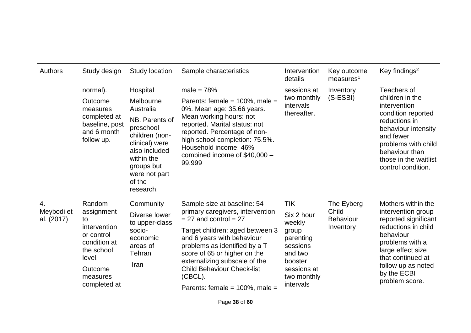| <b>Authors</b>                 | Study design                                                                                                                            | Study location                                                                                                                                                                             | Sample characteristics                                                                                                                                                                                                                                                                                                                                | Intervention<br>details                                                                                                               | Key outcome<br>measures <sup>1</sup>                 | Key findings <sup>2</sup>                                                                                                                                                                                                |
|--------------------------------|-----------------------------------------------------------------------------------------------------------------------------------------|--------------------------------------------------------------------------------------------------------------------------------------------------------------------------------------------|-------------------------------------------------------------------------------------------------------------------------------------------------------------------------------------------------------------------------------------------------------------------------------------------------------------------------------------------------------|---------------------------------------------------------------------------------------------------------------------------------------|------------------------------------------------------|--------------------------------------------------------------------------------------------------------------------------------------------------------------------------------------------------------------------------|
|                                | normal).<br>Outcome<br>measures<br>completed at<br>baseline, post<br>and 6 month<br>follow up.                                          | Hospital<br>Melbourne<br>Australia<br>NB. Parents of<br>preschool<br>children (non-<br>clinical) were<br>also included<br>within the<br>groups but<br>were not part<br>of the<br>research. | male = $78%$<br>Parents: female = $100\%$ , male =<br>0%. Mean age: 35.66 years.<br>Mean working hours: not<br>reported. Marital status: not<br>reported. Percentage of non-<br>high school completion: 75.5%.<br>Household income: 46%<br>combined income of \$40,000 -<br>99,999                                                                    | sessions at<br>two monthly<br>intervals<br>thereafter.                                                                                | Inventory<br>$(S-ESBI)$                              | Teachers of<br>children in the<br>intervention<br>condition reported<br>reductions in<br>behaviour intensity<br>and fewer<br>problems with child<br>behaviour than<br>those in the waitlist<br>control condition.        |
| 4.<br>Meybodi et<br>al. (2017) | Random<br>assignment<br>to<br>intervention<br>or control<br>condition at<br>the school<br>level.<br>Outcome<br>measures<br>completed at | Community<br>Diverse lower<br>to upper-class<br>socio-<br>economic<br>areas of<br>Tehran<br>Iran                                                                                           | Sample size at baseline: 54<br>primary caregivers, intervention<br>$= 27$ and control $= 27$<br>Target children: aged between 3<br>and 6 years with behaviour<br>problems as identified by a T<br>score of 65 or higher on the<br>externalizing subscale of the<br><b>Child Behaviour Check-list</b><br>(CBCL).<br>Parents: female = $100\%$ , male = | <b>TIK</b><br>Six 2 hour<br>weekly<br>group<br>parenting<br>sessions<br>and two<br>booster<br>sessions at<br>two monthly<br>intervals | The Eyberg<br>Child<br><b>Behaviour</b><br>Inventory | Mothers within the<br>intervention group<br>reported significant<br>reductions in child<br>behaviour<br>problems with a<br>large effect size<br>that continued at<br>follow up as noted<br>by the ECBI<br>problem score. |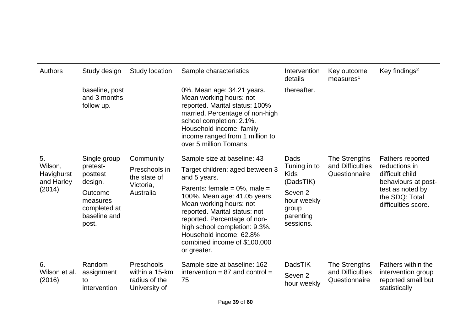| Authors                                             | Study design                                                                                                    | Study location                                                       | Sample characteristics                                                                                                                                                                                                                                                                                                                                    | Intervention<br>details                                                                                                  | Key outcome<br>measures <sup>1</sup>               | Key findings <sup>2</sup>                                                                                                                       |
|-----------------------------------------------------|-----------------------------------------------------------------------------------------------------------------|----------------------------------------------------------------------|-----------------------------------------------------------------------------------------------------------------------------------------------------------------------------------------------------------------------------------------------------------------------------------------------------------------------------------------------------------|--------------------------------------------------------------------------------------------------------------------------|----------------------------------------------------|-------------------------------------------------------------------------------------------------------------------------------------------------|
|                                                     | baseline, post<br>and 3 months<br>follow up.                                                                    |                                                                      | 0%. Mean age: 34.21 years.<br>Mean working hours: not<br>reported. Marital status: 100%<br>married. Percentage of non-high<br>school completion: 2.1%.<br>Household income: family<br>income ranged from 1 million to<br>over 5 million Tomans.                                                                                                           | thereafter.                                                                                                              |                                                    |                                                                                                                                                 |
| 5.<br>Wilson,<br>Havighurst<br>and Harley<br>(2014) | Single group<br>pretest-<br>posttest<br>design.<br>Outcome<br>measures<br>completed at<br>baseline and<br>post. | Community<br>Preschools in<br>the state of<br>Victoria,<br>Australia | Sample size at baseline: 43<br>Target children: aged between 3<br>and 5 years.<br>Parents: female = $0\%$ , male =<br>100%. Mean age: 41.05 years.<br>Mean working hours: not<br>reported. Marital status: not<br>reported. Percentage of non-<br>high school completion: 9.3%.<br>Household income: 62.8%<br>combined income of \$100,000<br>or greater. | Dads<br>Tuning in to<br><b>Kids</b><br>(DadsTIK)<br>Seven <sub>2</sub><br>hour weekly<br>group<br>parenting<br>sessions. | The Strengths<br>and Difficulties<br>Questionnaire | <b>Fathers reported</b><br>reductions in<br>difficult child<br>behaviours at post-<br>test as noted by<br>the SDQ: Total<br>difficulties score. |
| 6.<br>Wilson et al.<br>(2016)                       | Random<br>assignment<br>to<br>intervention                                                                      | Preschools<br>within a 15-km<br>radius of the<br>University of       | Sample size at baseline: 162<br>intervention = $87$ and control =<br>75                                                                                                                                                                                                                                                                                   | <b>DadsTIK</b><br>Seven <sub>2</sub><br>hour weekly                                                                      | The Strengths<br>and Difficulties<br>Questionnaire | Fathers within the<br>intervention group<br>reported small but<br>statistically                                                                 |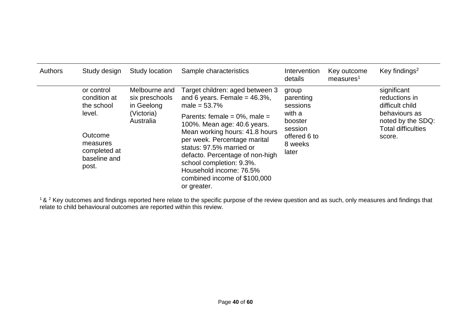| Authors | Study design                                                           | Study location                                | Sample characteristics                                                                                                                                                                                                                                                                  | Intervention<br>details                                          | Key outcome<br>measures <sup>1</sup> | Key findings <sup>2</sup>                                                 |
|---------|------------------------------------------------------------------------|-----------------------------------------------|-----------------------------------------------------------------------------------------------------------------------------------------------------------------------------------------------------------------------------------------------------------------------------------------|------------------------------------------------------------------|--------------------------------------|---------------------------------------------------------------------------|
|         | or control<br>condition at<br>the school                               | Melbourne and<br>six preschools<br>in Geelong | Target children: aged between 3<br>and 6 years. Female = $46.3\%$ ,<br>male = $53.7%$                                                                                                                                                                                                   | group<br>parenting<br>sessions                                   |                                      | significant<br>reductions in<br>difficult child                           |
|         | level.<br>Outcome<br>measures<br>completed at<br>baseline and<br>post. | (Victoria)<br>Australia                       | Parents: female = $0\%$ , male =<br>100%. Mean age: 40.6 years.<br>Mean working hours: 41.8 hours<br>per week. Percentage marital<br>status: 97.5% married or<br>defacto. Percentage of non-high<br>school completion: 9.3%.<br>Household income: 76.5%<br>combined income of \$100,000 | with a<br>booster<br>session<br>offered 6 to<br>8 weeks<br>later |                                      | behaviours as<br>noted by the SDQ:<br><b>Total difficulties</b><br>score. |

 $1$ &  $2$  Key outcomes and findings reported here relate to the specific purpose of the review question and as such, only measures and findings that relate to child behavioural outcomes are reported within this review.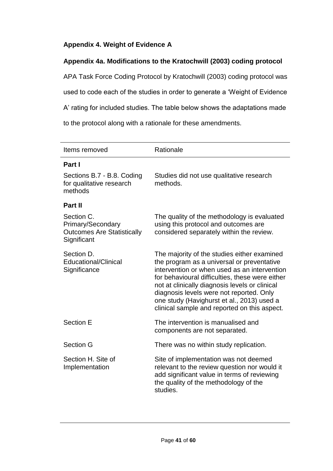# **Appendix 4. Weight of Evidence A**

# **Appendix 4a. Modifications to the Kratochwill (2003) coding protocol**

APA Task Force Coding Protocol by Kratochwill (2003) coding protocol was used to code each of the studies in order to generate a 'Weight of Evidence A' rating for included studies. The table below shows the adaptations made to the protocol along with a rationale for these amendments.

| Items removed                                                                       | Rationale                                                                                                                                                                                                                                                                                                                                                                                |
|-------------------------------------------------------------------------------------|------------------------------------------------------------------------------------------------------------------------------------------------------------------------------------------------------------------------------------------------------------------------------------------------------------------------------------------------------------------------------------------|
| Part I                                                                              |                                                                                                                                                                                                                                                                                                                                                                                          |
| Sections B.7 - B.8. Coding<br>for qualitative research<br>methods                   | Studies did not use qualitative research<br>methods.                                                                                                                                                                                                                                                                                                                                     |
| Part II                                                                             |                                                                                                                                                                                                                                                                                                                                                                                          |
| Section C.<br>Primary/Secondary<br><b>Outcomes Are Statistically</b><br>Significant | The quality of the methodology is evaluated<br>using this protocol and outcomes are<br>considered separately within the review.                                                                                                                                                                                                                                                          |
| Section D.<br><b>Educational/Clinical</b><br>Significance                           | The majority of the studies either examined<br>the program as a universal or preventative<br>intervention or when used as an intervention<br>for behavioural difficulties, these were either<br>not at clinically diagnosis levels or clinical<br>diagnosis levels were not reported. Only<br>one study (Havighurst et al., 2013) used a<br>clinical sample and reported on this aspect. |
| <b>Section E</b>                                                                    | The intervention is manualised and<br>components are not separated.                                                                                                                                                                                                                                                                                                                      |
| <b>Section G</b>                                                                    | There was no within study replication.                                                                                                                                                                                                                                                                                                                                                   |
| Section H. Site of<br>Implementation                                                | Site of implementation was not deemed<br>relevant to the review question nor would it<br>add significant value in terms of reviewing<br>the quality of the methodology of the<br>studies.                                                                                                                                                                                                |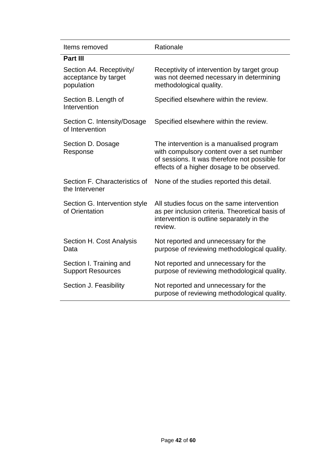| Items removed                                                  | Rationale                                                                                                                                                                             |
|----------------------------------------------------------------|---------------------------------------------------------------------------------------------------------------------------------------------------------------------------------------|
| Part III                                                       |                                                                                                                                                                                       |
| Section A4. Receptivity/<br>acceptance by target<br>population | Receptivity of intervention by target group<br>was not deemed necessary in determining<br>methodological quality.                                                                     |
| Section B. Length of<br>Intervention                           | Specified elsewhere within the review.                                                                                                                                                |
| Section C. Intensity/Dosage<br>of Intervention                 | Specified elsewhere within the review.                                                                                                                                                |
| Section D. Dosage<br>Response                                  | The intervention is a manualised program<br>with compulsory content over a set number<br>of sessions. It was therefore not possible for<br>effects of a higher dosage to be observed. |
| Section F. Characteristics of<br>the Intervener                | None of the studies reported this detail.                                                                                                                                             |
| Section G. Intervention style<br>of Orientation                | All studies focus on the same intervention<br>as per inclusion criteria. Theoretical basis of<br>intervention is outline separately in the<br>review.                                 |
| Section H. Cost Analysis<br>Data                               | Not reported and unnecessary for the<br>purpose of reviewing methodological quality.                                                                                                  |
| Section I. Training and<br><b>Support Resources</b>            | Not reported and unnecessary for the<br>purpose of reviewing methodological quality.                                                                                                  |
| Section J. Feasibility                                         | Not reported and unnecessary for the<br>purpose of reviewing methodological quality.                                                                                                  |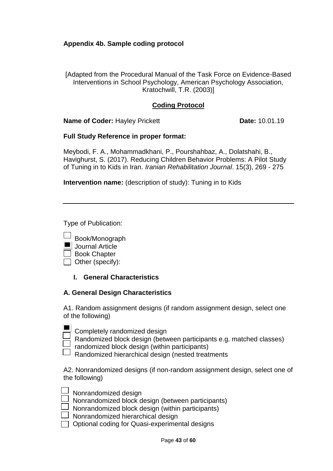## **Appendix 4b. Sample coding protocol**

[Adapted from the Procedural Manual of the Task Force on Evidence-Based Interventions in School Psychology, American Psychology Association, Kratochwill, T.R. (2003)]

## **Coding Protocol**

**Name of Coder:** Hayley Prickett **Date: 10.01.19** 

### **Full Study Reference in proper format:**

Meybodi, F. A., Mohammadkhani, P., Pourshahbaz, A., Dolatshahi, B., Havighurst, S. (2017). Reducing Children Behavior Problems: A Pilot Study of Tuning in to Kids in Iran. *Iranian Rehabilitation Journal*. 15(3), 269 - 275

**Intervention name:** (description of study): Tuning in to Kids

Type of Publication:

- Book/Monograph
- **Journal Article**
- $\Box$  Book Chapter
- $\Box$  Other (specify):

**I. General Characteristics**

## **A. General Design Characteristics**

A1. Random assignment designs (if random assignment design, select one of the following)

| $\overline{\phantom{a}}$ |  |
|--------------------------|--|
| $\overline{\phantom{a}}$ |  |
|                          |  |

Completely randomized design

Randomized block design (between participants e.g. matched classes)

randomized block design (within participants)

Randomized hierarchical design (nested treatments

A2. Nonrandomized designs (if non-random assignment design, select one of the following)

| Nonrandomized design  |
|-----------------------|
| Nonrondomized blook a |

Nonrandomized block design (between participants)

Nonrandomized block design (within participants)

- Nonrandomized hierarchical design
- $\Box$  Optional coding for Quasi-experimental designs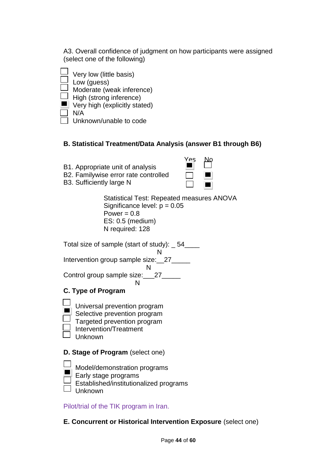A3. Overall confidence of judgment on how participants were assigned (select one of the following)

- Very low (little basis)  $\frac{1}{2}$  Low (guess)  $\equiv$  Moderate (weak inference)  $\Box$  High (strong inference)  $\blacksquare$  Very high (explicitly stated) N/A
	- Unknown/unable to code

# **B. Statistical Treatment/Data Analysis (answer B1 through B6)**

- B1. Appropriate unit of analysis
- B2. Familywise error rate controlled
- B3. Sufficiently large N

| es |  |
|----|--|
|    |  |
|    |  |

Statistical Test: Repeated measures ANOVA Significance level:  $p = 0.05$ Power  $= 0.8$ ES: 0.5 (medium) N required: 128

Total size of sample (start of study): \_ 54\_\_\_\_

| ٦<br>J |  |
|--------|--|
|        |  |

Intervention group sample size: 27\_\_\_\_\_\_

N

Control group sample size: 27 N

# **C. Type of Program**

- **Universal prevention program**
- Selective prevention program
	- $\exists$  Targeted prevention program
- $\perp$  Intervention/Treatment
- Unknown

# **D. Stage of Program** (select one)

- Model/demonstration programs
- Early stage programs
- Established/institutionalized programs
- $\Box$  Unknown

Pilot/trial of the TIK program in Iran.

**E. Concurrent or Historical Intervention Exposure** (select one)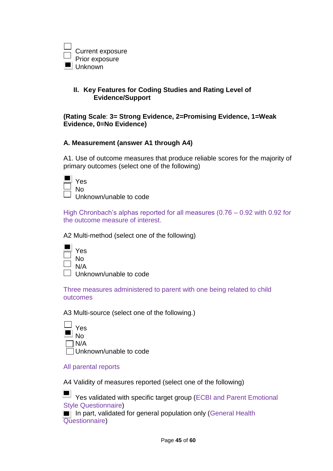

## **II. Key Features for Coding Studies and Rating Level of Evidence/Support**

**(Rating Scale**: **3= Strong Evidence, 2=Promising Evidence, 1=Weak Evidence, 0=No Evidence)**

### **A. Measurement (answer A1 through A4)**

A1. Use of outcome measures that produce reliable scores for the majority of primary outcomes (select one of the following)

| es     |
|--------|
| N٥     |
| تراجرا |

Unknown/unable to code

High Chronbach's alphas reported for all measures (0.76 – 0.92 with 0.92 for the outcome measure of interest.

A2 Multi-method (select one of the following)

| Yes    |
|--------|
| N٥     |
| N/A    |
| l Inki |

known/unable to code

Three measures administered to parent with one being related to child outcomes

A3 Multi-source (select one of the following.)



### All parental reports

A4 Validity of measures reported (select one of the following)

**THE Yes validated with specific target group (ECBI and Parent Emotional** Style Questionnaire)

In part, validated for general population only (General Health Questionnaire)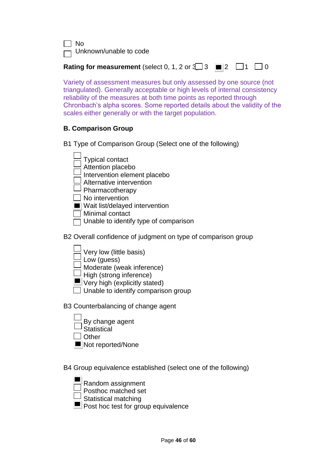$\Box$  No

 $\neg$  Unknown/unable to code

**Rating for measurement** (select 0, 1, 2 or  $\sqrt{3}$  3  $\blacksquare$  2  $\Box$  1  $\Box$  0

Variety of assessment measures but only assessed by one source (not triangulated). Generally acceptable or high levels of internal consistency reliability of the measures at both time points as reported through Chronbach's alpha scores. Some reported details about the validity of the scales either generally or with the target population.

# **B. Comparison Group**

B1 Type of Comparison Group (Select one of the following)

- Typical contact
- Attention placebo
- Intervention element placebo
- $\Box$  Alternative intervention
- $\square$  Pharmacotherapy
- $\Box$  No intervention
- Wait list/delayed intervention
- $\Box$  Minimal contact
- $\Box$  Unable to identify type of comparison
- B2 Overall confidence of judgment on type of comparison group
	- Very low (little basis)
	- Low (guess)
	- $\Box$  Noderate (weak inference)
	- $\Box$  High (strong inference)
	- **U** Very high (explicitly stated)
	- $\Box$  Unable to identify comparison group
- B3 Counterbalancing of change agent
	- By change agent **Statistical**
	- $\Box$  Other
	- Not reported/None
- B4 Group equivalence established (select one of the following)



- Statistical matching
- **Post hoc test for group equivalence**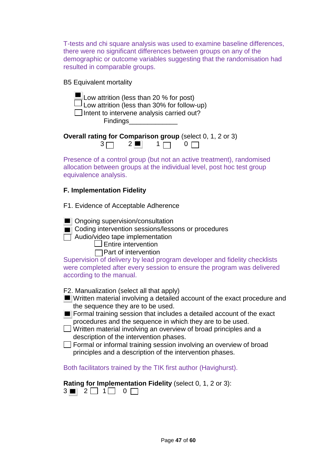T-tests and chi square analysis was used to examine baseline differences, there were no significant differences between groups on any of the demographic or outcome variables suggesting that the randomisation had resulted in comparable groups.

B5 Equivalent mortality

| $\blacksquare$ Low attrition (less than 20 % for post)<br>$\Box$ Low attrition (less than 30% for follow-up)<br>$\Box$ Intent to intervene analysis carried out?<br>Findings_________ |
|---------------------------------------------------------------------------------------------------------------------------------------------------------------------------------------|
| Overall rating for Comparison group (select 0, 1, 2 or 3)<br>$3\Box$ $2\blacksquare$ $1\Box$                                                                                          |
| Presence of a control group (but not an active treatment), randomised<br>allocation between groups at the individual level, post hoc test group<br>equivalence analysis.              |
| <b>F. Implementation Fidelity</b>                                                                                                                                                     |
| F1. Evidence of Acceptable Adherence                                                                                                                                                  |
| ___                                                                                                                                                                                   |

■ Ongoing supervision/consultation

Coding intervention sessions/lessons or procedures

 $\Box$  Audio/video tape implementation

 $\Box$  Entire intervention

 $\Box$  Part of intervention

Supervision of delivery by lead program developer and fidelity checklists were completed after every session to ensure the program was delivered according to the manual.

F2. Manualization (select all that apply)

- Written material involving a detailed account of the exact procedure and the sequence they are to be used.
- **Formal training session that includes a detailed account of the exact** procedures and the sequence in which they are to be used.
- $\Box$  Written material involving an overview of broad principles and a description of the intervention phases.
- $\Box$  Formal or informal training session involving an overview of broad principles and a description of the intervention phases.

Both facilitators trained by the TIK first author (Havighurst).

**Rating for Implementation Fidelity** (select 0, 1, 2 or 3):

 $3$  2  $2$  1 0 0  $\Box$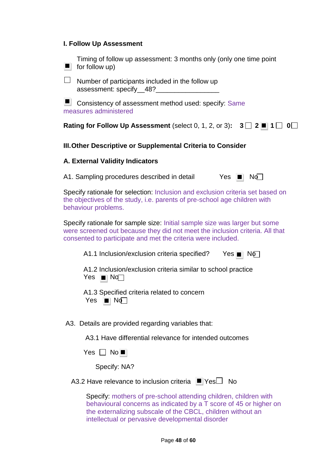### **I. Follow Up Assessment**



Page **48** of **60**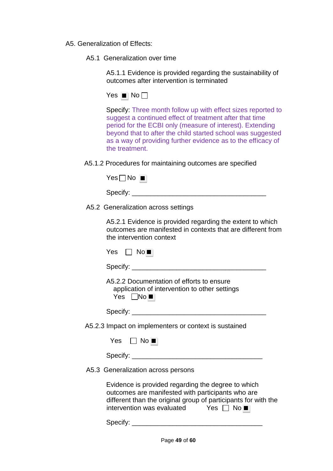- A5. Generalization of Effects:
	- A5.1 Generalization over time

A5.1.1 Evidence is provided regarding the sustainability of outcomes after intervention is terminated

Yes  $\blacksquare$  No  $\Box$ 

Specify: Three month follow up with effect sizes reported to suggest a continued effect of treatment after that time period for the ECBI only (measure of interest). Extending beyond that to after the child started school was suggested as a way of providing further evidence as to the efficacy of the treatment.

A5.1.2 Procedures for maintaining outcomes are specified

A5.2 Generalization across settings

A5.2.1 Evidence is provided regarding the extent to which outcomes are manifested in contexts that are different from the intervention context

| Yes □ No■                                                                                                                                                                                                                            |
|--------------------------------------------------------------------------------------------------------------------------------------------------------------------------------------------------------------------------------------|
|                                                                                                                                                                                                                                      |
| A5.2.2 Documentation of efforts to ensure<br>application of intervention to other settings<br>Yes $\Box$ No $\blacksquare$                                                                                                           |
|                                                                                                                                                                                                                                      |
| A5.2.3 Impact on implementers or context is sustained                                                                                                                                                                                |
| Yes $\Box$ No $\blacksquare$                                                                                                                                                                                                         |
|                                                                                                                                                                                                                                      |
| A5.3 Generalization across persons                                                                                                                                                                                                   |
| Evidence is provided regarding the degree to which<br>outcomes are manifested with participants who are<br>different than the original group of participants for with the<br>intervention was evaluated Yes $\Box$ No $\blacksquare$ |
| Specify:                                                                                                                                                                                                                             |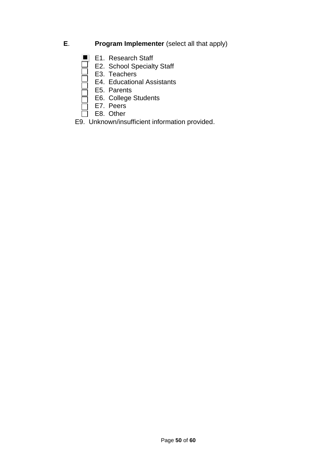- **E**. **Program Implementer** (select all that apply)
	- E1. Research Staff
- □ E2. School Specialty Staff
- $\Box$  E3. Teachers
	- E4. Educational Assistants
	- E5. Parents
- **IDEREFEG.** College Students
- □ E7. Peers
- E8. Other
	- E9. Unknown/insufficient information provided.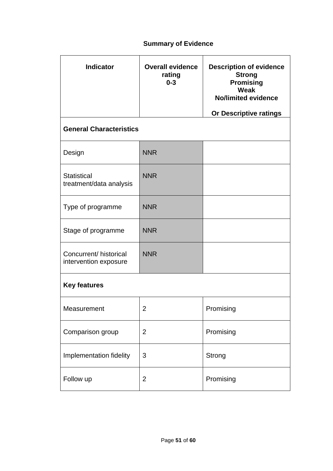# **Summary of Evidence**

| <b>Indicator</b>                                                | <b>Overall evidence</b><br>rating<br>$0 - 3$ | <b>Description of evidence</b><br><b>Strong</b><br><b>Promising</b><br>Weak<br><b>No/limited evidence</b> |
|-----------------------------------------------------------------|----------------------------------------------|-----------------------------------------------------------------------------------------------------------|
| <b>Or Descriptive ratings</b><br><b>General Characteristics</b> |                                              |                                                                                                           |
| Design                                                          | <b>NNR</b>                                   |                                                                                                           |
| <b>Statistical</b><br>treatment/data analysis                   | <b>NNR</b>                                   |                                                                                                           |
| Type of programme                                               | <b>NNR</b>                                   |                                                                                                           |
| Stage of programme                                              | <b>NNR</b>                                   |                                                                                                           |
| Concurrent/ historical<br>intervention exposure                 | <b>NNR</b>                                   |                                                                                                           |
| <b>Key features</b>                                             |                                              |                                                                                                           |
| Measurement                                                     | 2                                            | Promising                                                                                                 |
| Comparison group                                                | $\overline{2}$                               | Promising                                                                                                 |
| Implementation fidelity                                         | 3                                            | Strong                                                                                                    |
| Follow up                                                       | $\overline{2}$                               | Promising                                                                                                 |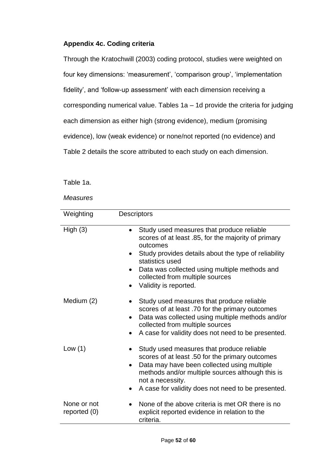# **Appendix 4c. Coding criteria**

Through the Kratochwill (2003) coding protocol, studies were weighted on four key dimensions: 'measurement', 'comparison group', 'implementation fidelity', and 'follow-up assessment' with each dimension receiving a corresponding numerical value. Tables 1a – 1d provide the criteria for judging each dimension as either high (strong evidence), medium (promising evidence), low (weak evidence) or none/not reported (no evidence) and Table 2 details the score attributed to each study on each dimension.

Table 1a.

| Weighting                     | <b>Descriptors</b>                                                                                                                                                                                                                                                                                                |
|-------------------------------|-------------------------------------------------------------------------------------------------------------------------------------------------------------------------------------------------------------------------------------------------------------------------------------------------------------------|
| High(3)                       | Study used measures that produce reliable<br>scores of at least .85, for the majority of primary<br>outcomes<br>Study provides details about the type of reliability<br>statistics used<br>Data was collected using multiple methods and<br>$\bullet$<br>collected from multiple sources<br>Validity is reported. |
| Medium (2)                    | Study used measures that produce reliable<br>scores of at least .70 for the primary outcomes<br>Data was collected using multiple methods and/or<br>$\bullet$<br>collected from multiple sources<br>A case for validity does not need to be presented.<br>$\bullet$                                               |
| Low $(1)$                     | Study used measures that produce reliable<br>scores of at least .50 for the primary outcomes<br>Data may have been collected using multiple<br>$\bullet$<br>methods and/or multiple sources although this is<br>not a necessity.<br>A case for validity does not need to be presented.<br>$\bullet$               |
| None or not<br>reported $(0)$ | None of the above criteria is met OR there is no<br>explicit reported evidence in relation to the<br>criteria.                                                                                                                                                                                                    |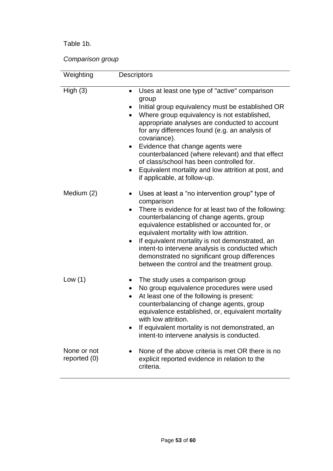# Table 1b.

*Comparison group*

| Weighting                   | Descriptors                                                                                                                                                                                                                                                                                                                                                                                                                                                                                                                                    |
|-----------------------------|------------------------------------------------------------------------------------------------------------------------------------------------------------------------------------------------------------------------------------------------------------------------------------------------------------------------------------------------------------------------------------------------------------------------------------------------------------------------------------------------------------------------------------------------|
| High(3)                     | Uses at least one type of "active" comparison<br>group<br>Initial group equivalency must be established OR<br>Where group equivalency is not established,<br>$\bullet$<br>appropriate analyses are conducted to account<br>for any differences found (e.g. an analysis of<br>covariance).<br>Evidence that change agents were<br>$\bullet$<br>counterbalanced (where relevant) and that effect<br>of class/school has been controlled for.<br>Equivalent mortality and low attrition at post, and<br>$\bullet$<br>if applicable, at follow-up. |
| Medium (2)                  | Uses at least a "no intervention group" type of<br>comparison<br>There is evidence for at least two of the following:<br>$\bullet$<br>counterbalancing of change agents, group<br>equivalence established or accounted for, or<br>equivalent mortality with low attrition.<br>If equivalent mortality is not demonstrated, an<br>$\bullet$<br>intent-to intervene analysis is conducted which<br>demonstrated no significant group differences<br>between the control and the treatment group.                                                 |
| Low $(1)$                   | The study uses a comparison group<br>No group equivalence procedures were used<br>٠<br>At least one of the following is present:<br>$\bullet$<br>counterbalancing of change agents, group<br>equivalence established, or, equivalent mortality<br>with low attrition.<br>If equivalent mortality is not demonstrated, an<br>intent-to intervene analysis is conducted.                                                                                                                                                                         |
| None or not<br>reported (0) | None of the above criteria is met OR there is no<br>explicit reported evidence in relation to the<br>criteria.                                                                                                                                                                                                                                                                                                                                                                                                                                 |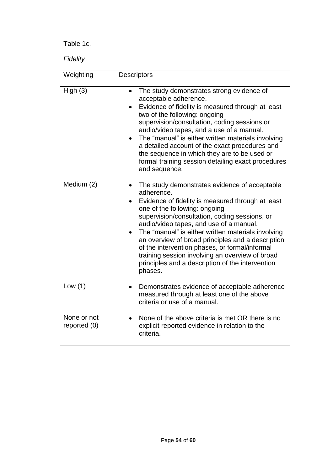Table 1c.

*Fidelity*

| Weighting                     | <b>Descriptors</b>                                                                                                                                                                                                                                                                                                                                                                                                                                                                                                           |
|-------------------------------|------------------------------------------------------------------------------------------------------------------------------------------------------------------------------------------------------------------------------------------------------------------------------------------------------------------------------------------------------------------------------------------------------------------------------------------------------------------------------------------------------------------------------|
|                               |                                                                                                                                                                                                                                                                                                                                                                                                                                                                                                                              |
| High(3)                       | The study demonstrates strong evidence of<br>$\bullet$<br>acceptable adherence.<br>Evidence of fidelity is measured through at least<br>two of the following: ongoing<br>supervision/consultation, coding sessions or<br>audio/video tapes, and a use of a manual.<br>The "manual" is either written materials involving<br>a detailed account of the exact procedures and<br>the sequence in which they are to be used or<br>formal training session detailing exact procedures<br>and sequence.                            |
| Medium (2)                    | The study demonstrates evidence of acceptable<br>adherence.<br>Evidence of fidelity is measured through at least<br>one of the following: ongoing<br>supervision/consultation, coding sessions, or<br>audio/video tapes, and use of a manual.<br>The "manual" is either written materials involving<br>an overview of broad principles and a description<br>of the intervention phases, or formal/informal<br>training session involving an overview of broad<br>principles and a description of the intervention<br>phases. |
| Low $(1)$                     | Demonstrates evidence of acceptable adherence<br>measured through at least one of the above<br>criteria or use of a manual.                                                                                                                                                                                                                                                                                                                                                                                                  |
| None or not<br>reported $(0)$ | None of the above criteria is met OR there is no<br>explicit reported evidence in relation to the<br>criteria.                                                                                                                                                                                                                                                                                                                                                                                                               |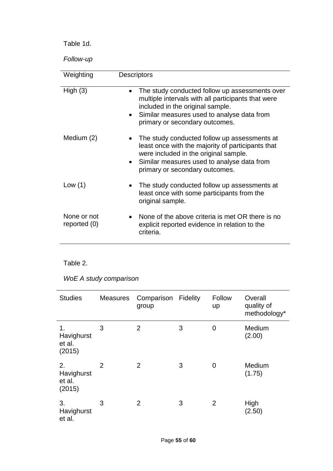Table 1d.

*Follow-up*

| Weighting                   | <b>Descriptors</b>                                                                                                                                                                                                         |  |  |
|-----------------------------|----------------------------------------------------------------------------------------------------------------------------------------------------------------------------------------------------------------------------|--|--|
| High $(3)$                  | The study conducted follow up assessments over<br>multiple intervals with all participants that were<br>included in the original sample.<br>Similar measures used to analyse data from<br>primary or secondary outcomes.   |  |  |
| Medium (2)                  | The study conducted follow up assessments at<br>least once with the majority of participants that<br>were included in the original sample.<br>Similar measures used to analyse data from<br>primary or secondary outcomes. |  |  |
| Low $(1)$                   | The study conducted follow up assessments at<br>least once with some participants from the<br>original sample.                                                                                                             |  |  |
| None or not<br>reported (0) | None of the above criteria is met OR there is no<br>explicit reported evidence in relation to the<br>criteria.                                                                                                             |  |  |

# Table 2.

*WoE A study comparison*

| <b>Studies</b>                       | <b>Measures</b> | Comparison<br>group | <b>Fidelity</b> | Follow<br>up | Overall<br>quality of<br>methodology* |
|--------------------------------------|-----------------|---------------------|-----------------|--------------|---------------------------------------|
| 1.<br>Havighurst<br>et al.<br>(2015) | 3               | $\overline{2}$      | 3               | 0            | Medium<br>(2.00)                      |
| 2.<br>Havighurst<br>et al.<br>(2015) | 2               | 2                   | 3               | 0            | Medium<br>(1.75)                      |
| 3.<br>Havighurst<br>et al.           | 3               | $\overline{2}$      | 3               | 2            | High<br>(2.50)                        |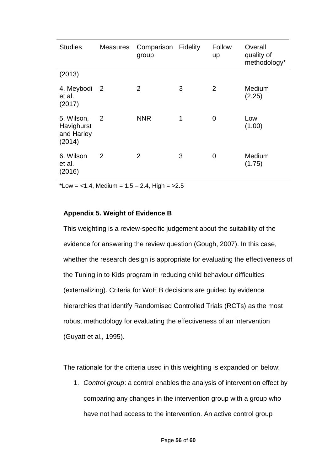| <b>Studies</b>                                   | Measures                 | Comparison Fidelity<br>group |   | Follow<br>up | Overall<br>quality of<br>methodology* |
|--------------------------------------------------|--------------------------|------------------------------|---|--------------|---------------------------------------|
| (2013)                                           |                          |                              |   |              |                                       |
| 4. Meybodi<br>et al.<br>(2017)                   | $\overline{\phantom{2}}$ | $\overline{2}$               | 3 | 2            | Medium<br>(2.25)                      |
| 5. Wilson,<br>Havighurst<br>and Harley<br>(2014) | $\overline{2}$           | <b>NNR</b>                   | 1 | 0            | Low<br>(1.00)                         |
| 6. Wilson<br>et al.<br>(2016)                    | 2                        | 2                            | 3 | 0            | Medium<br>(1.75)                      |

\*Low =  $<$ 1.4, Medium = 1.5 – 2.4, High =  $>$ 2.5

### **Appendix 5. Weight of Evidence B**

This weighting is a review-specific judgement about the suitability of the evidence for answering the review question (Gough, 2007). In this case, whether the research design is appropriate for evaluating the effectiveness of the Tuning in to Kids program in reducing child behaviour difficulties (externalizing). Criteria for WoE B decisions are guided by evidence hierarchies that identify Randomised Controlled Trials (RCTs) as the most robust methodology for evaluating the effectiveness of an intervention (Guyatt et al., 1995).

The rationale for the criteria used in this weighting is expanded on below:

1. *Control group*: a control enables the analysis of intervention effect by comparing any changes in the intervention group with a group who have not had access to the intervention. An active control group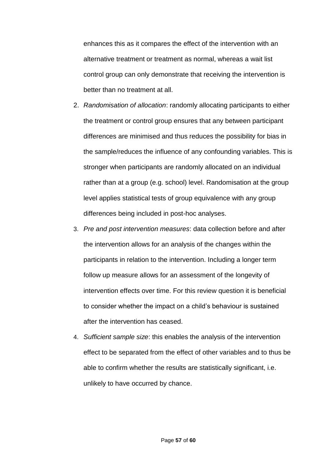enhances this as it compares the effect of the intervention with an alternative treatment or treatment as normal, whereas a wait list control group can only demonstrate that receiving the intervention is better than no treatment at all.

- 2. *Randomisation of allocation*: randomly allocating participants to either the treatment or control group ensures that any between participant differences are minimised and thus reduces the possibility for bias in the sample/reduces the influence of any confounding variables. This is stronger when participants are randomly allocated on an individual rather than at a group (e.g. school) level. Randomisation at the group level applies statistical tests of group equivalence with any group differences being included in post-hoc analyses.
- 3. *Pre and post intervention measures*: data collection before and after the intervention allows for an analysis of the changes within the participants in relation to the intervention. Including a longer term follow up measure allows for an assessment of the longevity of intervention effects over time. For this review question it is beneficial to consider whether the impact on a child's behaviour is sustained after the intervention has ceased.
- 4. *Sufficient sample size*: this enables the analysis of the intervention effect to be separated from the effect of other variables and to thus be able to confirm whether the results are statistically significant, i.e. unlikely to have occurred by chance.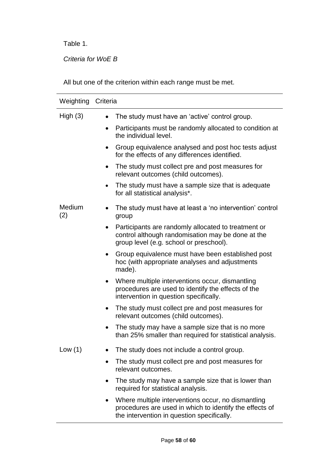Table 1.

*Criteria for WoE B*

All but one of the criterion within each range must be met.

| Weighting Criteria |                                                                                                                                                             |
|--------------------|-------------------------------------------------------------------------------------------------------------------------------------------------------------|
| High $(3)$         | The study must have an 'active' control group.                                                                                                              |
|                    | Participants must be randomly allocated to condition at<br>the individual level.                                                                            |
|                    | Group equivalence analysed and post hoc tests adjust<br>٠<br>for the effects of any differences identified.                                                 |
|                    | The study must collect pre and post measures for<br>$\bullet$<br>relevant outcomes (child outcomes).                                                        |
|                    | The study must have a sample size that is adequate<br>for all statistical analysis*.                                                                        |
| Medium<br>(2)      | The study must have at least a 'no intervention' control<br>group                                                                                           |
|                    | Participants are randomly allocated to treatment or<br>control although randomisation may be done at the<br>group level (e.g. school or preschool).         |
|                    | Group equivalence must have been established post<br>$\bullet$<br>hoc (with appropriate analyses and adjustments<br>made).                                  |
|                    | Where multiple interventions occur, dismantling<br>procedures are used to identify the effects of the<br>intervention in question specifically.             |
|                    | The study must collect pre and post measures for<br>relevant outcomes (child outcomes).                                                                     |
|                    | The study may have a sample size that is no more<br>than 25% smaller than required for statistical analysis.                                                |
| Low $(1)$          | The study does not include a control group.                                                                                                                 |
|                    | The study must collect pre and post measures for<br>relevant outcomes.                                                                                      |
|                    | The study may have a sample size that is lower than<br>required for statistical analysis.                                                                   |
|                    | Where multiple interventions occur, no dismantling<br>procedures are used in which to identify the effects of<br>the intervention in question specifically. |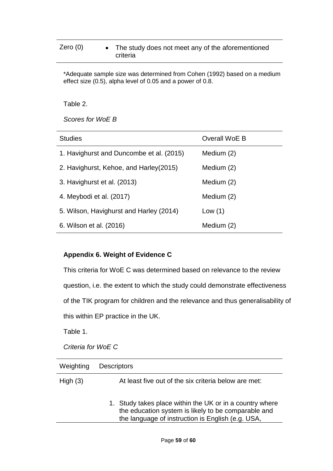# Zero  $(0) \qquad \bullet \quad$  The study does not meet any of the aforementioned criteria

\*Adequate sample size was determined from Cohen (1992) based on a medium effect size (0.5), alpha level of 0.05 and a power of 0.8.

Table 2.

*Scores for WoE B*

| <b>Studies</b>                           | Overall WoE B |
|------------------------------------------|---------------|
| 1. Havighurst and Duncombe et al. (2015) | Medium (2)    |
| 2. Havighurst, Kehoe, and Harley (2015)  | Medium (2)    |
| 3. Havighurst et al. (2013)              | Medium (2)    |
| 4. Meybodi et al. (2017)                 | Medium (2)    |
| 5. Wilson, Havighurst and Harley (2014)  | Low $(1)$     |
| 6. Wilson et al. (2016)                  | Medium (2)    |

## **Appendix 6. Weight of Evidence C**

This criteria for WoE C was determined based on relevance to the review question, i.e. the extent to which the study could demonstrate effectiveness of the TIK program for children and the relevance and thus generalisability of

this within EP practice in the UK.

Table 1.

*Criteria for WoE C*

| Weighting  | <b>Descriptors</b>                                                                                                                                                   |
|------------|----------------------------------------------------------------------------------------------------------------------------------------------------------------------|
| High $(3)$ | At least five out of the six criteria below are met:                                                                                                                 |
|            | 1. Study takes place within the UK or in a country where<br>the education system is likely to be comparable and<br>the language of instruction is English (e.g. USA, |